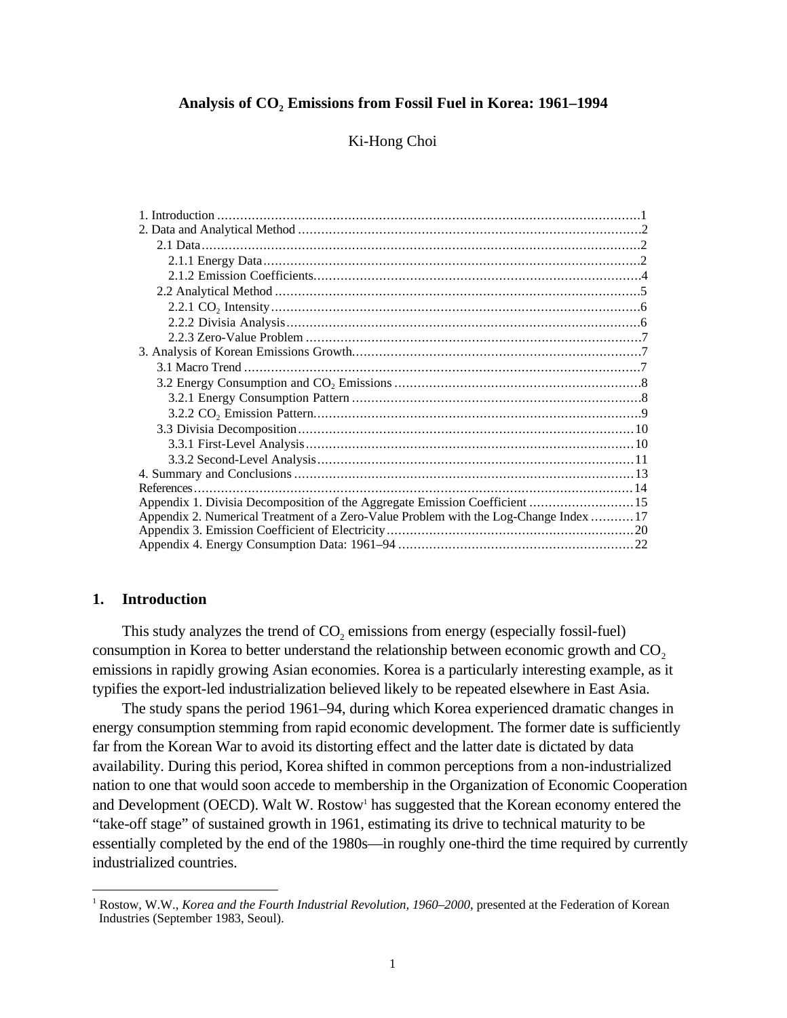# Analysis of CO<sub>2</sub> Emissions from Fossil Fuel in Korea: 1961–1994

Ki-Hong Choi

| Appendix 1. Divisia Decomposition of the Aggregate Emission Coefficient  15          |  |
|--------------------------------------------------------------------------------------|--|
| Appendix 2. Numerical Treatment of a Zero-Value Problem with the Log-Change Index 17 |  |
|                                                                                      |  |
|                                                                                      |  |

#### **1. Introduction**

 $\overline{a}$ 

This study analyzes the trend of  $CO<sub>2</sub>$  emissions from energy (especially fossil-fuel) consumption in Korea to better understand the relationship between economic growth and  $CO<sub>2</sub>$ emissions in rapidly growing Asian economies. Korea is a particularly interesting example, as it typifies the export-led industrialization believed likely to be repeated elsewhere in East Asia.

The study spans the period 1961–94, during which Korea experienced dramatic changes in energy consumption stemming from rapid economic development. The former date is sufficiently far from the Korean War to avoid its distorting effect and the latter date is dictated by data availability. During this period, Korea shifted in common perceptions from a non-industrialized nation to one that would soon accede to membership in the Organization of Economic Cooperation and Development (OECD). Walt W. Rostow<sup>1</sup> has suggested that the Korean economy entered the "take-off stage" of sustained growth in 1961, estimating its drive to technical maturity to be essentially completed by the end of the 1980s—in roughly one-third the time required by currently industrialized countries.

<sup>&</sup>lt;sup>1</sup> Rostow, W.W., *Korea and the Fourth Industrial Revolution, 1960–2000*, presented at the Federation of Korean Industries (September 1983, Seoul).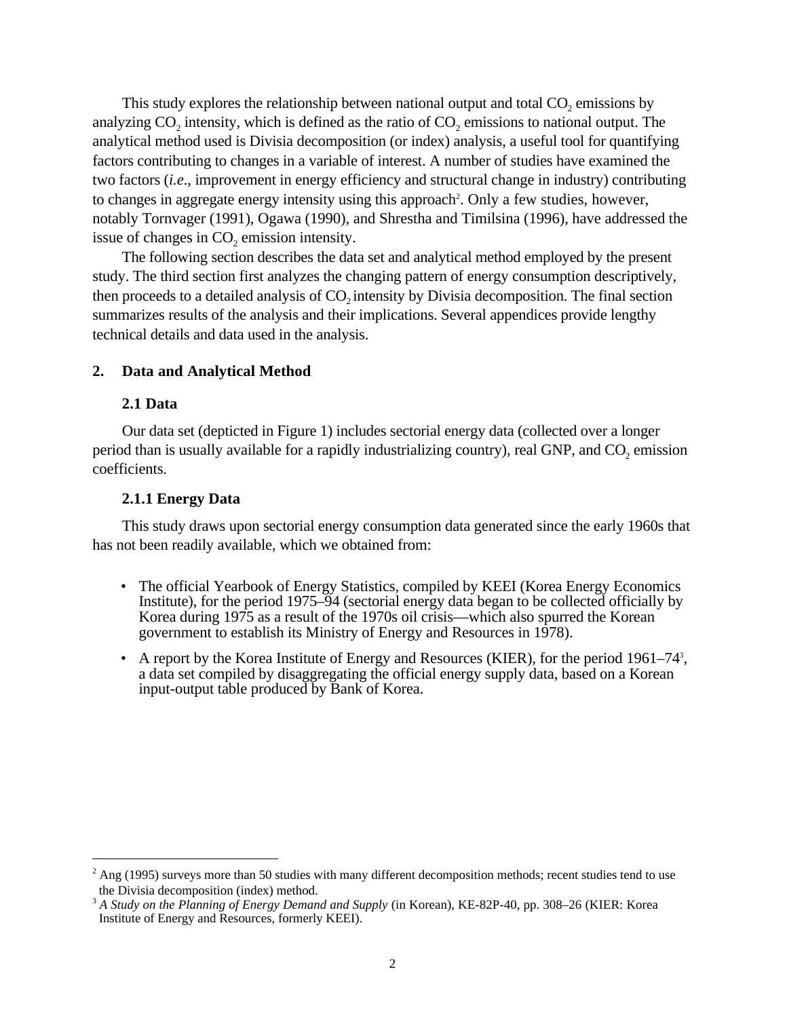This study explores the relationship between national output and total  $CO<sub>2</sub>$  emissions by analyzing  $CO<sub>2</sub>$  intensity, which is defined as the ratio of  $CO<sub>2</sub>$  emissions to national output. The analytical method used is Divisia decomposition (or index) analysis, a useful tool for quantifying factors contributing to changes in a variable of interest. A number of studies have examined the two factors (*i.e*., improvement in energy efficiency and structural change in industry) contributing to changes in aggregate energy intensity using this approach<sup>2</sup>. Only a few studies, however, notably Tornvager (1991), Ogawa (1990), and Shrestha and Timilsina (1996), have addressed the issue of changes in  $CO<sub>2</sub>$  emission intensity.

The following section describes the data set and analytical method employed by the present study. The third section first analyzes the changing pattern of energy consumption descriptively, then proceeds to a detailed analysis of CO<sub>2</sub> intensity by Divisia decomposition. The final section summarizes results of the analysis and their implications. Several appendices provide lengthy technical details and data used in the analysis.

# **2. Data and Analytical Method**

# **2.1 Data**

 $\overline{a}$ 

Our data set (depticted in Figure 1) includes sectorial energy data (collected over a longer period than is usually available for a rapidly industrializing country), real GNP, and CO<sub>2</sub> emission coefficients.

# **2.1.1 Energy Data**

This study draws upon sectorial energy consumption data generated since the early 1960s that has not been readily available, which we obtained from:

- The official Yearbook of Energy Statistics, compiled by KEEI (Korea Energy Economics Institute), for the period 1975–94 (sectorial energy data began to be collected officially by Korea during 1975 as a result of the 1970s oil crisis—which also spurred the Korean government to establish its Ministry of Energy and Resources in 1978).
- A report by the Korea Institute of Energy and Resources (KIER), for the period 1961–74<sup>3</sup>, a data set compiled by disaggregating the official energy supply data, based on a Korean input-output table produced by Bank of Korea.

 $2$  Ang (1995) surveys more than 50 studies with many different decomposition methods; recent studies tend to use the Divisia decomposition (index) method.

<sup>3</sup> *A Study on the Planning of Energy Demand and Supply* (in Korean), KE-82P-40, pp. 308–26 (KIER: Korea Institute of Energy and Resources, formerly KEEI).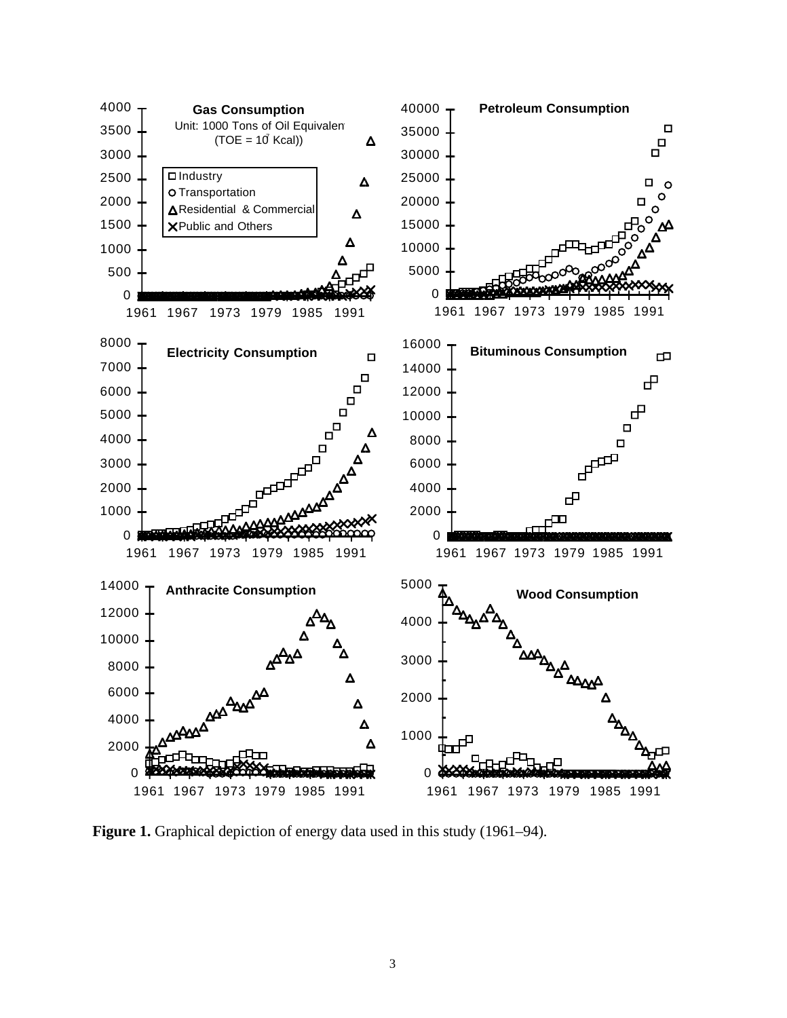

**Figure 1.** Graphical depiction of energy data used in this study (1961–94).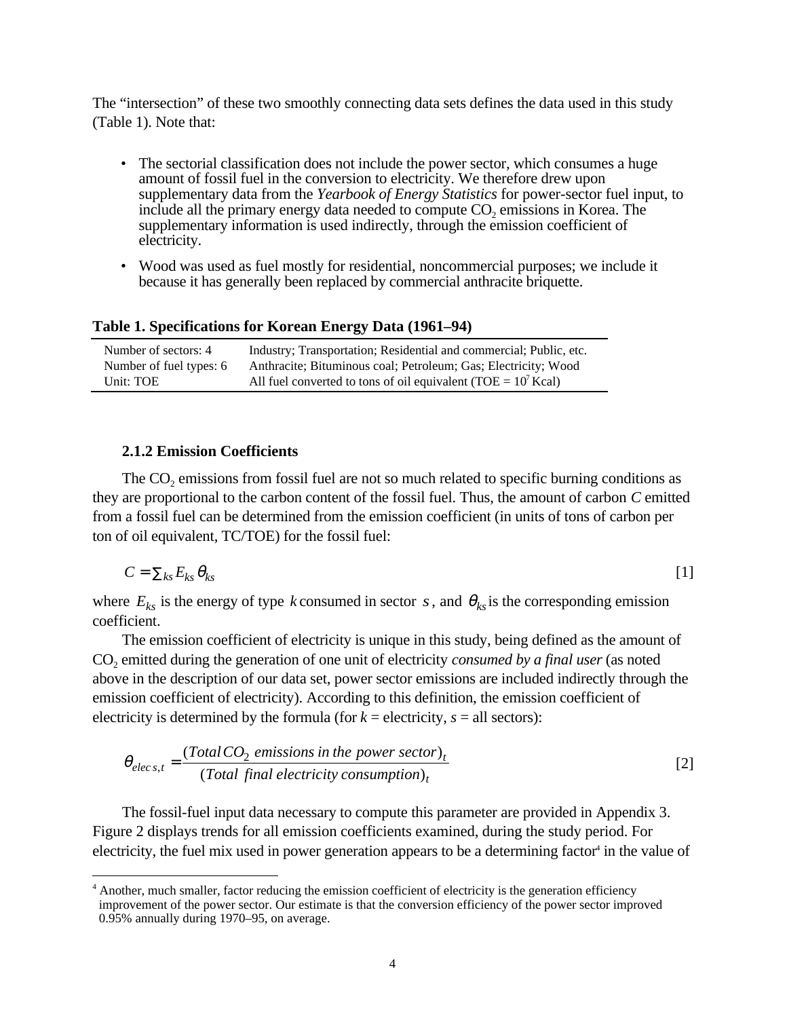The "intersection" of these two smoothly connecting data sets defines the data used in this study (Table 1). Note that:

- The sectorial classification does not include the power sector, which consumes a huge amount of fossil fuel in the conversion to electricity. We therefore drew upon supplementary data from the *Yearbook of Energy Statistics* for power-sector fuel input, to include all the primary energy data needed to compute  $CO<sub>2</sub>$  emissions in Korea. The supplementary information is used indirectly, through the emission coefficient of electricity.
- Wood was used as fuel mostly for residential, noncommercial purposes; we include it because it has generally been replaced by commercial anthracite briquette.

#### **Table 1. Specifications for Korean Energy Data (1961–94)**

| Number of sectors: 4    | Industry; Transportation; Residential and commercial; Public, etc. |
|-------------------------|--------------------------------------------------------------------|
| Number of fuel types: 6 | Anthracite; Bituminous coal; Petroleum; Gas; Electricity; Wood     |
| Unit: TOE               | All fuel converted to tons of oil equivalent (TOE = $10^7$ Kcal)   |

# **2.1.2 Emission Coefficients**

<u>.</u>

The CO<sub>2</sub> emissions from fossil fuel are not so much related to specific burning conditions as they are proportional to the carbon content of the fossil fuel. Thus, the amount of carbon *C* emitted from a fossil fuel can be determined from the emission coefficient (in units of tons of carbon per ton of oil equivalent, TC/TOE) for the fossil fuel:

$$
C = \sum_{ks} E_{ks} \theta_{ks} \tag{1}
$$

where  $E_{ks}$  is the energy of type *k* consumed in sector *s*, and  $\theta_{ks}$  is the corresponding emission coefficient.

The emission coefficient of electricity is unique in this study, being defined as the amount of CO<sub>2</sub> emitted during the generation of one unit of electricity *consumed by a final user* (as noted above in the description of our data set, power sector emissions are included indirectly through the emission coefficient of electricity). According to this definition, the emission coefficient of electricity is determined by the formula (for  $k =$  electricity,  $s =$  all sectors):

$$
\theta_{elec\,s,t} = \frac{(Total\,CO_2\,emissions\,in\,the\,power\,sector})_t}{(Total\,final\,electricity\,consumption)_t}
$$
\n[2]

The fossil-fuel input data necessary to compute this parameter are provided in Appendix 3. Figure 2 displays trends for all emission coefficients examined, during the study period. For electricity, the fuel mix used in power generation appears to be a determining factor<sup>4</sup> in the value of

<sup>&</sup>lt;sup>4</sup> Another, much smaller, factor reducing the emission coefficient of electricity is the generation efficiency improvement of the power sector. Our estimate is that the conversion efficiency of the power sector improved 0.95% annually during 1970–95, on average.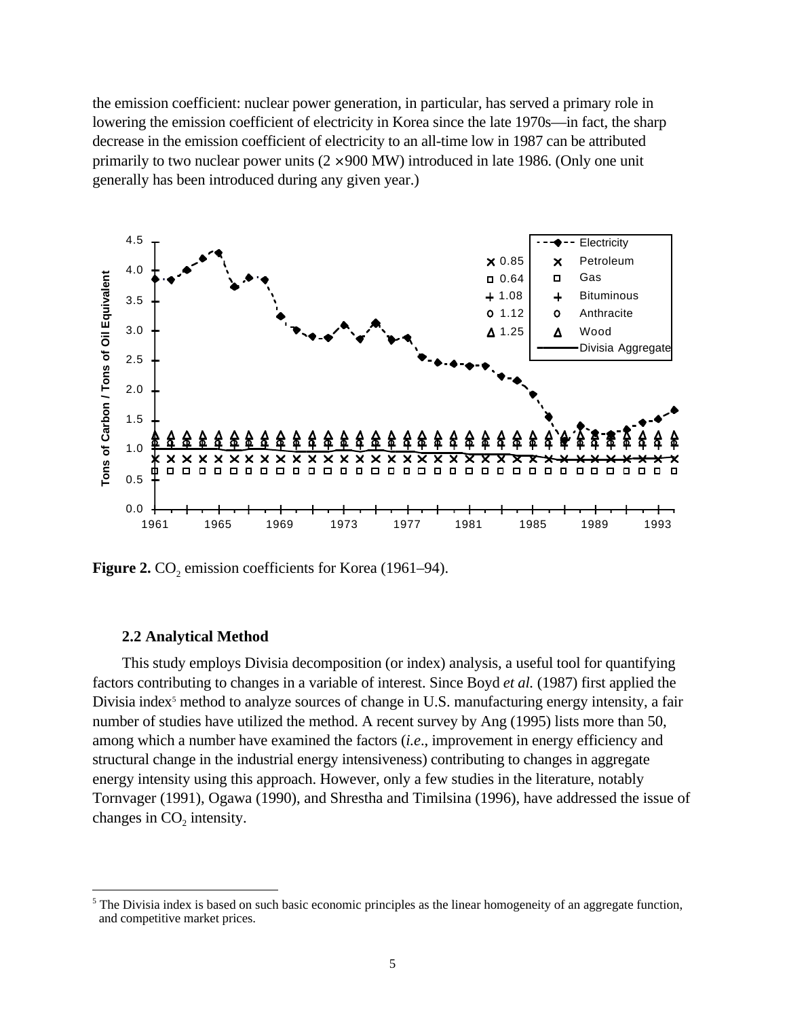the emission coefficient: nuclear power generation, in particular, has served a primary role in lowering the emission coefficient of electricity in Korea since the late 1970s—in fact, the sharp decrease in the emission coefficient of electricity to an all-time low in 1987 can be attributed primarily to two nuclear power units  $(2 \times 900 \text{ MW})$  introduced in late 1986. (Only one unit generally has been introduced during any given year.)



**Figure 2.** CO<sub>2</sub> emission coefficients for Korea (1961–94).

# **2.2 Analytical Method**

 $\overline{a}$ 

This study employs Divisia decomposition (or index) analysis, a useful tool for quantifying factors contributing to changes in a variable of interest. Since Boyd *et al.* (1987) first applied the Divisia index<sup>5</sup> method to analyze sources of change in U.S. manufacturing energy intensity, a fair number of studies have utilized the method. A recent survey by Ang (1995) lists more than 50, among which a number have examined the factors (*i.e*., improvement in energy efficiency and structural change in the industrial energy intensiveness) contributing to changes in aggregate energy intensity using this approach. However, only a few studies in the literature, notably Tornvager (1991), Ogawa (1990), and Shrestha and Timilsina (1996), have addressed the issue of changes in CO<sub>2</sub> intensity.

<sup>&</sup>lt;sup>5</sup> The Divisia index is based on such basic economic principles as the linear homogeneity of an aggregate function, and competitive market prices.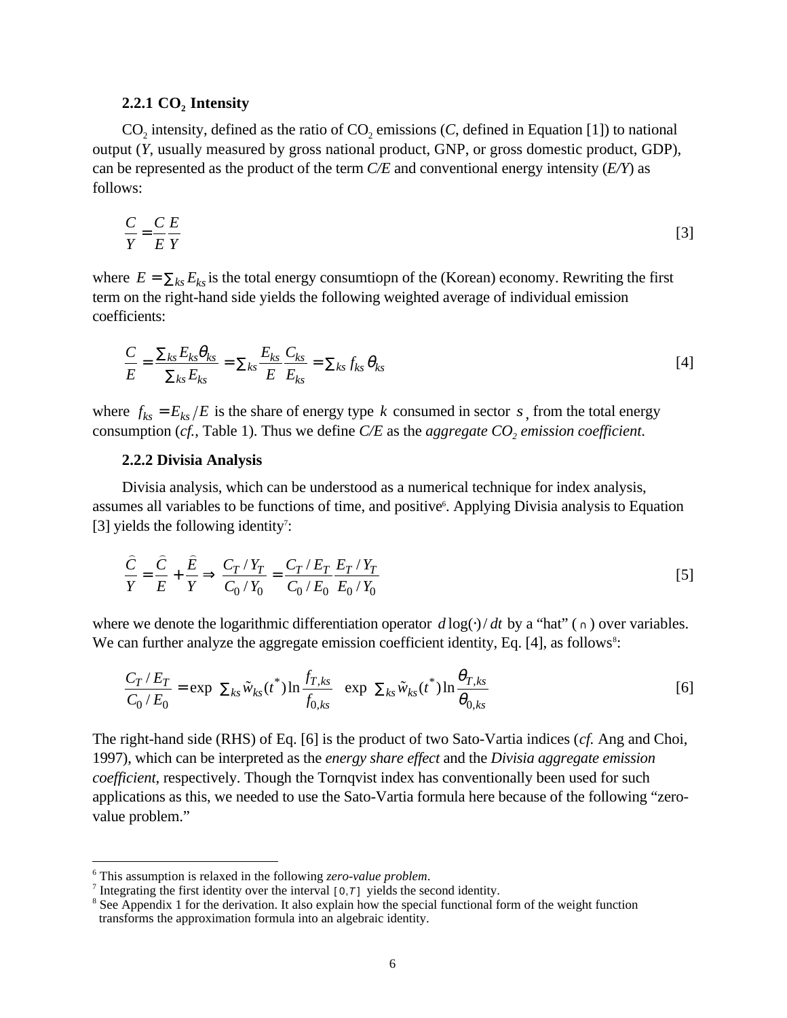# **2.2.1 CO<sub>2</sub> Intensity**

CO<sub>2</sub> intensity, defined as the ratio of CO<sub>2</sub> emissions (*C*, defined in Equation [1]) to national output (*Y*, usually measured by gross national product, GNP, or gross domestic product, GDP), can be represented as the product of the term *C/E* and conventional energy intensity (*E/Y*) as follows:

$$
\frac{C}{Y} = \frac{C}{E} \frac{E}{Y}
$$
 [3]

where  $E = \sum_{ks} E_{ks}$  is the total energy consumtiopn of the (Korean) economy. Rewriting the first term on the right-hand side yields the following weighted average of individual emission coefficients:

$$
\frac{C}{E} = \frac{\sum_{ks} E_{ks} \theta_{ks}}{\sum_{ks} E_{ks}} = \sum_{ks} \frac{E_{ks}}{E} \frac{C_{ks}}{E_{ks}} = \sum_{ks} f_{ks} \theta_{ks}
$$
\n
$$
\tag{4}
$$

where  $f_{ks} = E_{ks}/E$  is the share of energy type k consumed in sector s, from the total energy consumption (*cf.*, Table 1). Thus we define *C/E* as the *aggregate CO<sub>2</sub> emission coefficient*.

#### **2.2.2 Divisia Analysis**

Divisia analysis, which can be understood as a numerical technique for index analysis, assumes all variables to be functions of time, and positive<sup>6</sup>. Applying Divisia analysis to Equation [3] yields the following identity<sup>7</sup>:

$$
\frac{\hat{C}}{Y} = \frac{\hat{C}}{E} + \frac{\hat{E}}{Y} \Rightarrow \frac{C_T / Y_T}{C_0 / Y_0} = \frac{C_T / E_T}{C_0 / E_0} \frac{E_T / Y_T}{E_0 / Y_0}
$$
\n[5]

where we denote the logarithmic differentiation operator  $d \log(\cdot)/dt$  by a "hat" ( $\cap$ ) over variables. We can further analyze the aggregate emission coefficient identity, Eq. [4], as follows<sup>8</sup>:

$$
\frac{C_T/E_T}{C_0/E_0} = \exp\left(\sum_{ks}\tilde{w}_{ks}(t^*)\ln\frac{f_{T,ks}}{f_{0,ks}}\right)\exp\left(\sum_{ks}\tilde{w}_{ks}(t^*)\ln\frac{\theta_{T,ks}}{\theta_{0,ks}}\right)
$$
 [6]

The right-hand side (RHS) of Eq. [6] is the product of two Sato-Vartia indices (*cf.* Ang and Choi, 1997), which can be interpreted as the *energy share effect* and the *Divisia aggregate emission coefficient*, respectively. Though the Tornqvist index has conventionally been used for such applications as this, we needed to use the Sato-Vartia formula here because of the following "zerovalue problem."

<u>.</u>

<sup>6</sup> This assumption is relaxed in the following *zero-value problem*.

<sup>&</sup>lt;sup>7</sup> Integrating the first identity over the interval [0,7] yields the second identity.

<sup>&</sup>lt;sup>8</sup> See Appendix 1 for the derivation. It also explain how the special functional form of the weight function transforms the approximation formula into an algebraic identity.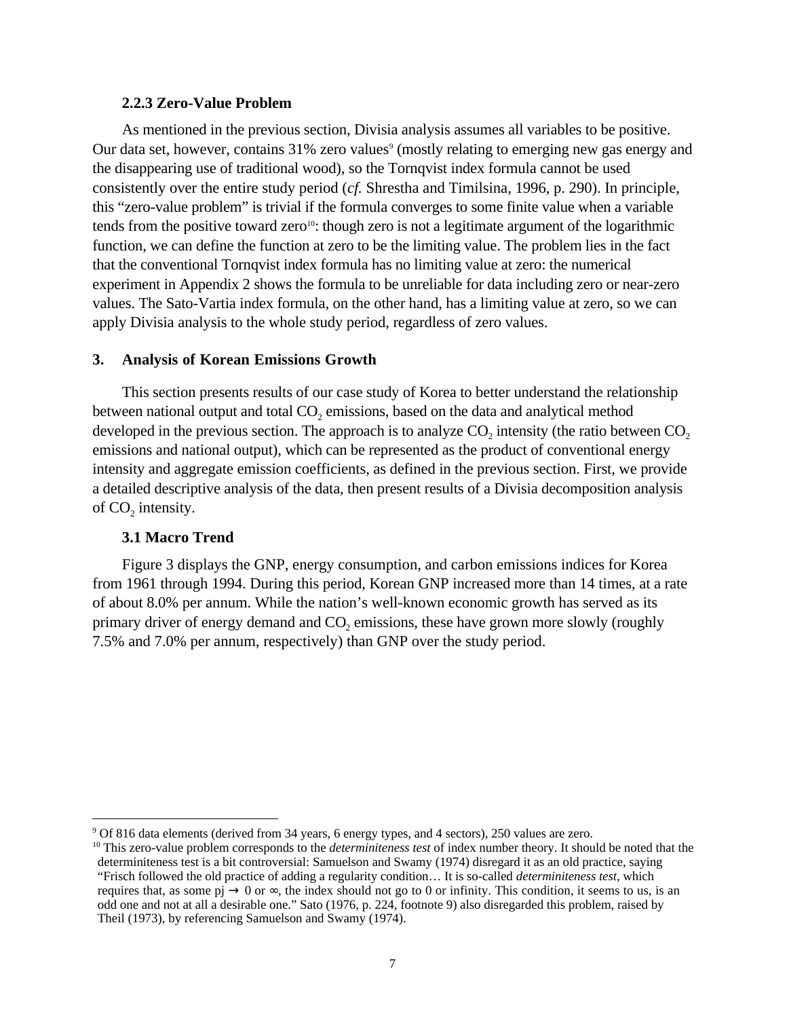# **2.2.3 Zero-Value Problem**

As mentioned in the previous section, Divisia analysis assumes all variables to be positive. Our data set, however, contains 31% zero values<sup>9</sup> (mostly relating to emerging new gas energy and the disappearing use of traditional wood), so the Tornqvist index formula cannot be used consistently over the entire study period (*cf.* Shrestha and Timilsina, 1996, p. 290). In principle, this "zero-value problem" is trivial if the formula converges to some finite value when a variable tends from the positive toward zero<sup>10</sup>: though zero is not a legitimate argument of the logarithmic function, we can define the function at zero to be the limiting value. The problem lies in the fact that the conventional Tornqvist index formula has no limiting value at zero: the numerical experiment in Appendix 2 shows the formula to be unreliable for data including zero or near-zero values. The Sato-Vartia index formula, on the other hand, has a limiting value at zero, so we can apply Divisia analysis to the whole study period, regardless of zero values.

## **3. Analysis of Korean Emissions Growth**

This section presents results of our case study of Korea to better understand the relationship between national output and total CO<sub>2</sub> emissions, based on the data and analytical method developed in the previous section. The approach is to analyze  $CO<sub>2</sub>$  intensity (the ratio between  $CO<sub>2</sub>$ emissions and national output), which can be represented as the product of conventional energy intensity and aggregate emission coefficients, as defined in the previous section. First, we provide a detailed descriptive analysis of the data, then present results of a Divisia decomposition analysis of  $CO<sub>2</sub>$  intensity.

# **3.1 Macro Trend**

 $\overline{a}$ 

Figure 3 displays the GNP, energy consumption, and carbon emissions indices for Korea from 1961 through 1994. During this period, Korean GNP increased more than 14 times, at a rate of about 8.0% per annum. While the nation's well-known economic growth has served as its primary driver of energy demand and  $CO<sub>2</sub>$  emissions, these have grown more slowly (roughly 7.5% and 7.0% per annum, respectively) than GNP over the study period.

 $9$  Of 816 data elements (derived from 34 years, 6 energy types, and 4 sectors), 250 values are zero.

<sup>10</sup> This zero-value problem corresponds to the *determiniteness test* of index number theory. It should be noted that the determiniteness test is a bit controversial: Samuelson and Swamy (1974) disregard it as an old practice, saying "Frisch followed the old practice of adding a regularity condition… It is so-called *determiniteness test*, which requires that, as some pj  $\rightarrow 0$  or  $\infty$ , the index should not go to 0 or infinity. This condition, it seems to us, is an odd one and not at all a desirable one." Sato (1976, p. 224, footnote 9) also disregarded this problem, raised by Theil (1973), by referencing Samuelson and Swamy (1974).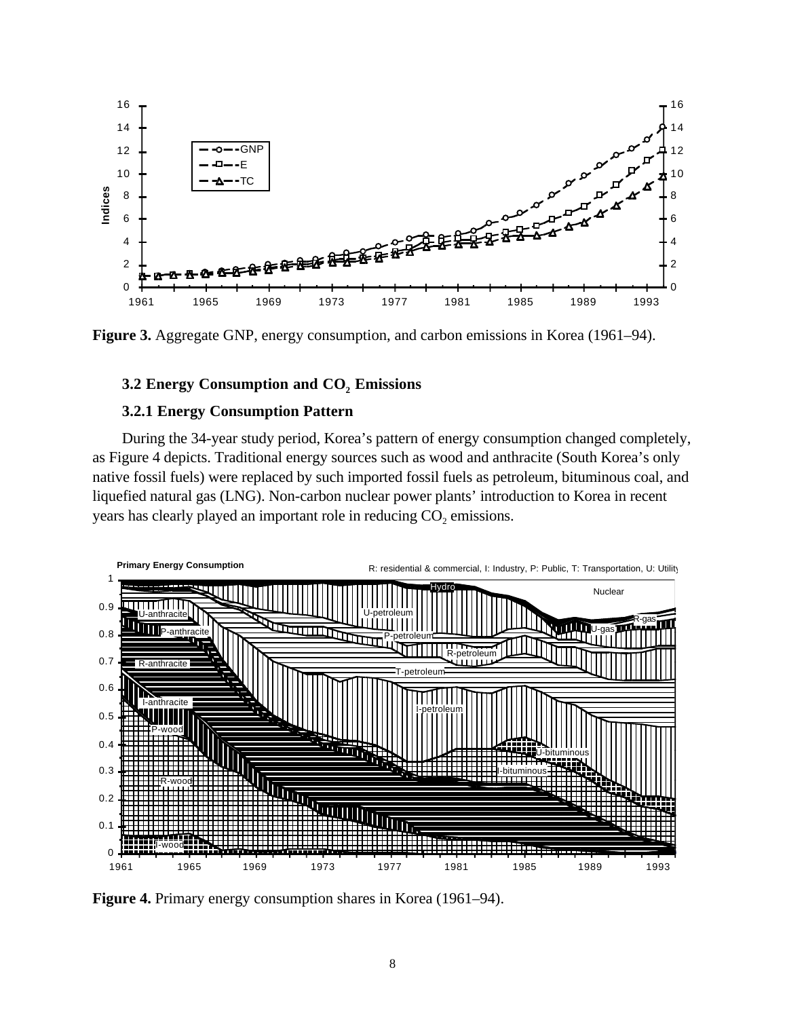

**Figure 3.** Aggregate GNP, energy consumption, and carbon emissions in Korea (1961–94).

# **3.2 Energy Consumption and CO<sub>2</sub> Emissions**

# **3.2.1 Energy Consumption Pattern**

During the 34-year study period, Korea's pattern of energy consumption changed completely, as Figure 4 depicts. Traditional energy sources such as wood and anthracite (South Korea's only native fossil fuels) were replaced by such imported fossil fuels as petroleum, bituminous coal, and liquefied natural gas (LNG). Non-carbon nuclear power plants' introduction to Korea in recent years has clearly played an important role in reducing CO<sub>2</sub> emissions.



**Figure 4.** Primary energy consumption shares in Korea (1961–94).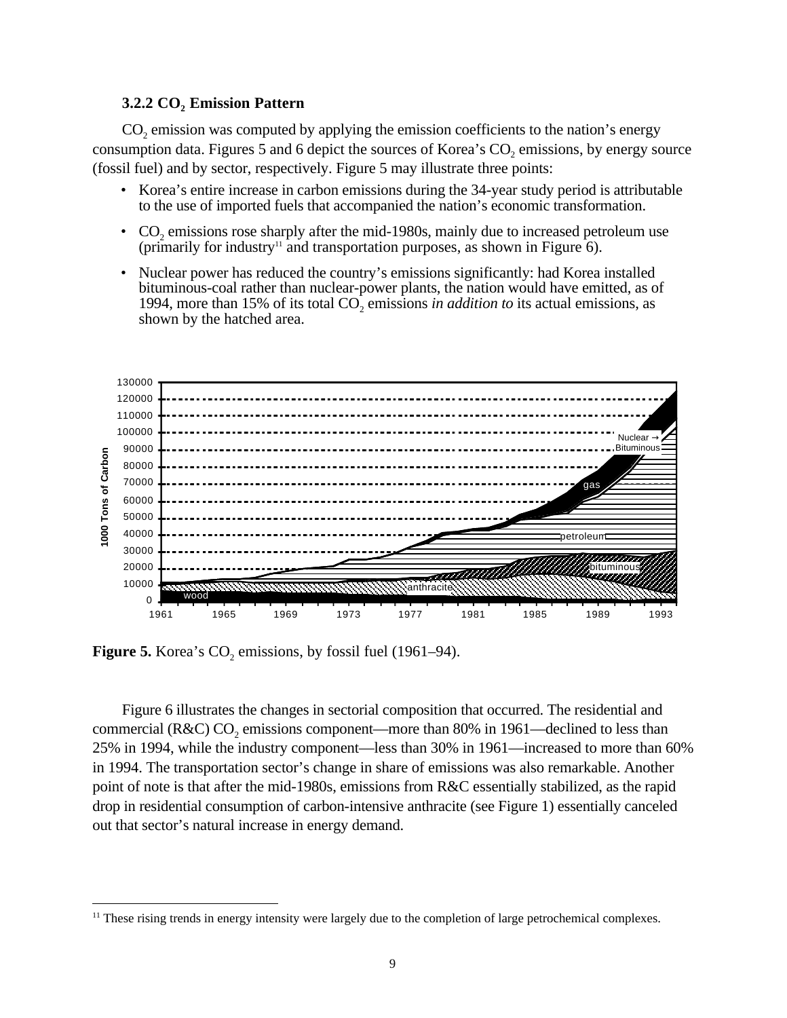# **3.2.2 CO<sub>2</sub> Emission Pattern**

CO<sub>2</sub> emission was computed by applying the emission coefficients to the nation's energy consumption data. Figures 5 and 6 depict the sources of Korea's  $CO<sub>2</sub>$  emissions, by energy source (fossil fuel) and by sector, respectively. Figure 5 may illustrate three points:

- Korea's entire increase in carbon emissions during the 34-year study period is attributable to the use of imported fuels that accompanied the nation's economic transformation.
- CO<sub>2</sub> emissions rose sharply after the mid-1980s, mainly due to increased petroleum use (primarily for industry<sup>11</sup> and transportation purposes, as shown in Figure  $\overline{6}$ ).
- Nuclear power has reduced the country's emissions significantly: had Korea installed bituminous-coal rather than nuclear-power plants, the nation would have emitted, as of 1994, more than 15% of its total CO<sub>2</sub> emissions *in addition to* its actual emissions, as shown by the hatched area.



**Figure 5.** Korea's CO<sub>2</sub> emissions, by fossil fuel (1961–94).

 $\overline{a}$ 

Figure 6 illustrates the changes in sectorial composition that occurred. The residential and commercial (R&C) CO<sub>2</sub> emissions component—more than 80% in 1961—declined to less than 25% in 1994, while the industry component—less than 30% in 1961—increased to more than 60% in 1994. The transportation sector's change in share of emissions was also remarkable. Another point of note is that after the mid-1980s, emissions from R&C essentially stabilized, as the rapid drop in residential consumption of carbon-intensive anthracite (see Figure 1) essentially canceled out that sector's natural increase in energy demand.

<sup>&</sup>lt;sup>11</sup> These rising trends in energy intensity were largely due to the completion of large petrochemical complexes.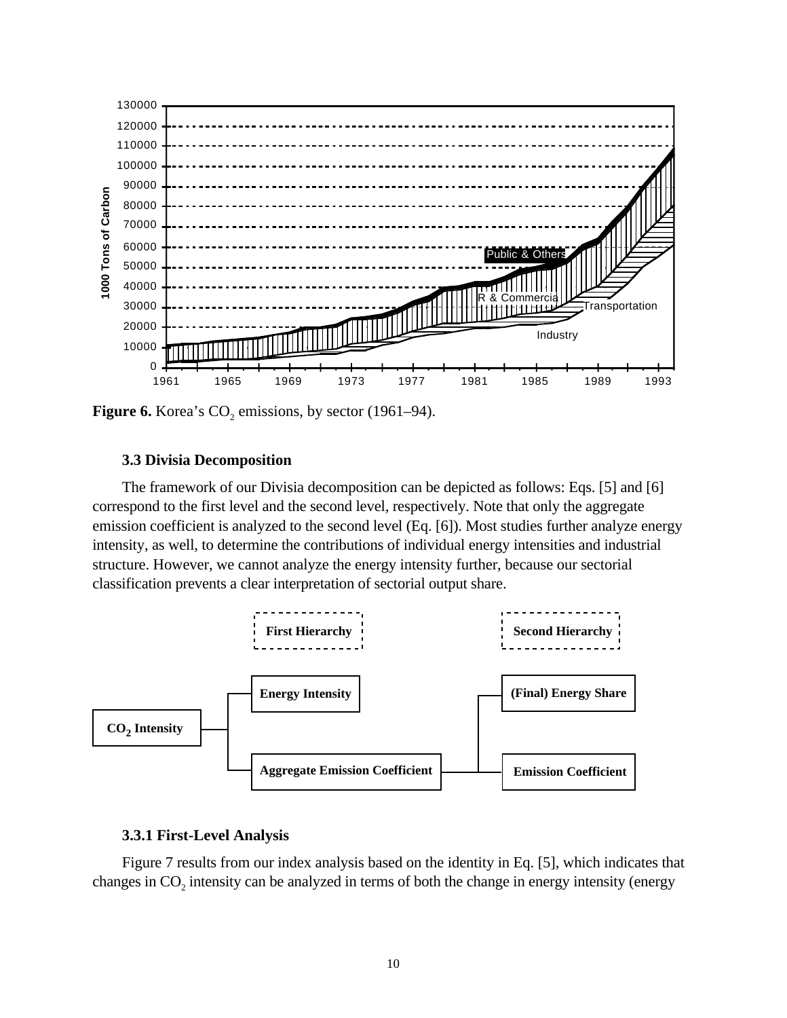

**Figure 6.** Korea's CO<sub>2</sub> emissions, by sector (1961–94).

# **3.3 Divisia Decomposition**

The framework of our Divisia decomposition can be depicted as follows: Eqs. [5] and [6] correspond to the first level and the second level, respectively. Note that only the aggregate emission coefficient is analyzed to the second level (Eq. [6]). Most studies further analyze energy intensity, as well, to determine the contributions of individual energy intensities and industrial structure. However, we cannot analyze the energy intensity further, because our sectorial classification prevents a clear interpretation of sectorial output share.



# **3.3.1 First-Level Analysis**

Figure 7 results from our index analysis based on the identity in Eq. [5], which indicates that changes in  $CO<sub>2</sub>$  intensity can be analyzed in terms of both the change in energy intensity (energy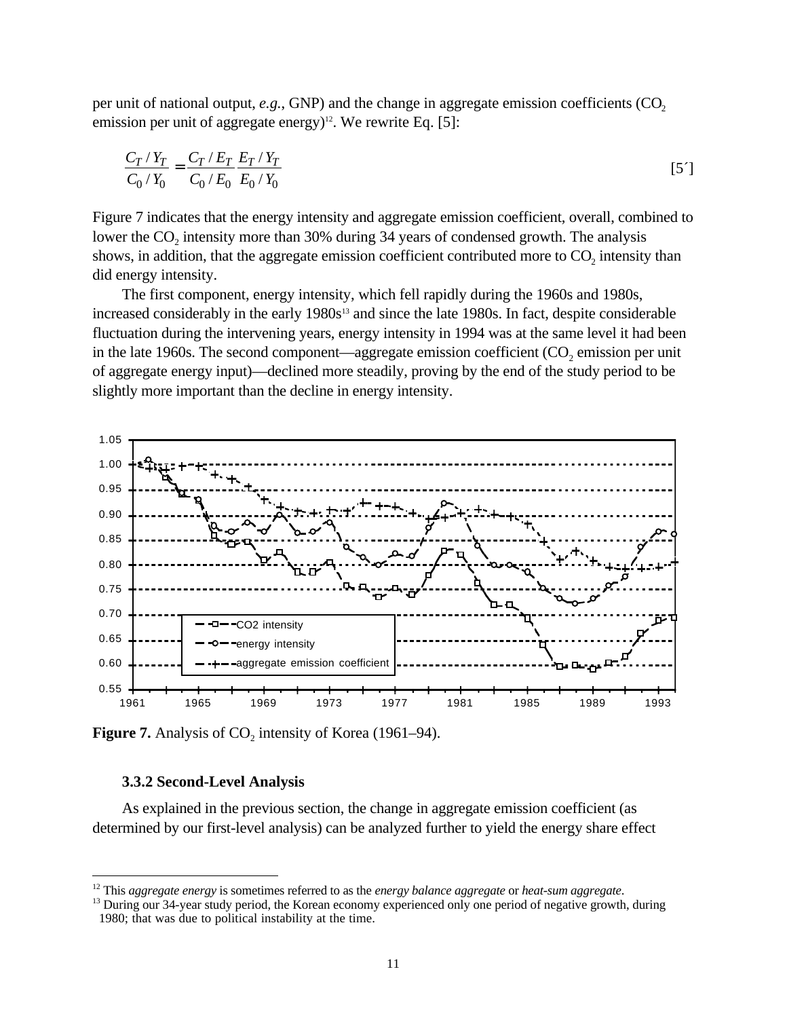per unit of national output, *e.g.*, GNP) and the change in aggregate emission coefficients (CO<sub>2</sub>) emission per unit of aggregate energy)<sup>12</sup>. We rewrite Eq. [5]:

$$
\frac{C_T/Y_T}{C_0/Y_0} = \frac{C_T/E_T}{C_0/E_0} \frac{E_T/Y_T}{E_0/Y_0}
$$
 [5]

Figure 7 indicates that the energy intensity and aggregate emission coefficient, overall, combined to lower the  $CO<sub>2</sub>$  intensity more than 30% during 34 years of condensed growth. The analysis shows, in addition, that the aggregate emission coefficient contributed more to  $CO<sub>2</sub>$  intensity than did energy intensity.

The first component, energy intensity, which fell rapidly during the 1960s and 1980s, increased considerably in the early 1980s<sup>13</sup> and since the late 1980s. In fact, despite considerable fluctuation during the intervening years, energy intensity in 1994 was at the same level it had been in the late 1960s. The second component—aggregate emission coefficient  $(CO<sub>2</sub>$  emission per unit of aggregate energy input)—declined more steadily, proving by the end of the study period to be slightly more important than the decline in energy intensity.



**Figure 7.** Analysis of CO<sub>2</sub> intensity of Korea (1961–94).

## **3.3.2 Second-Level Analysis**

 $\overline{a}$ 

As explained in the previous section, the change in aggregate emission coefficient (as determined by our first-level analysis) can be analyzed further to yield the energy share effect

<sup>12</sup> This *aggregate energy* is sometimes referred to as the *energy balance aggregate* or *heat-sum aggregate*.

<sup>&</sup>lt;sup>13</sup> During our 34-year study period, the Korean economy experienced only one period of negative growth, during 1980; that was due to political instability at the time.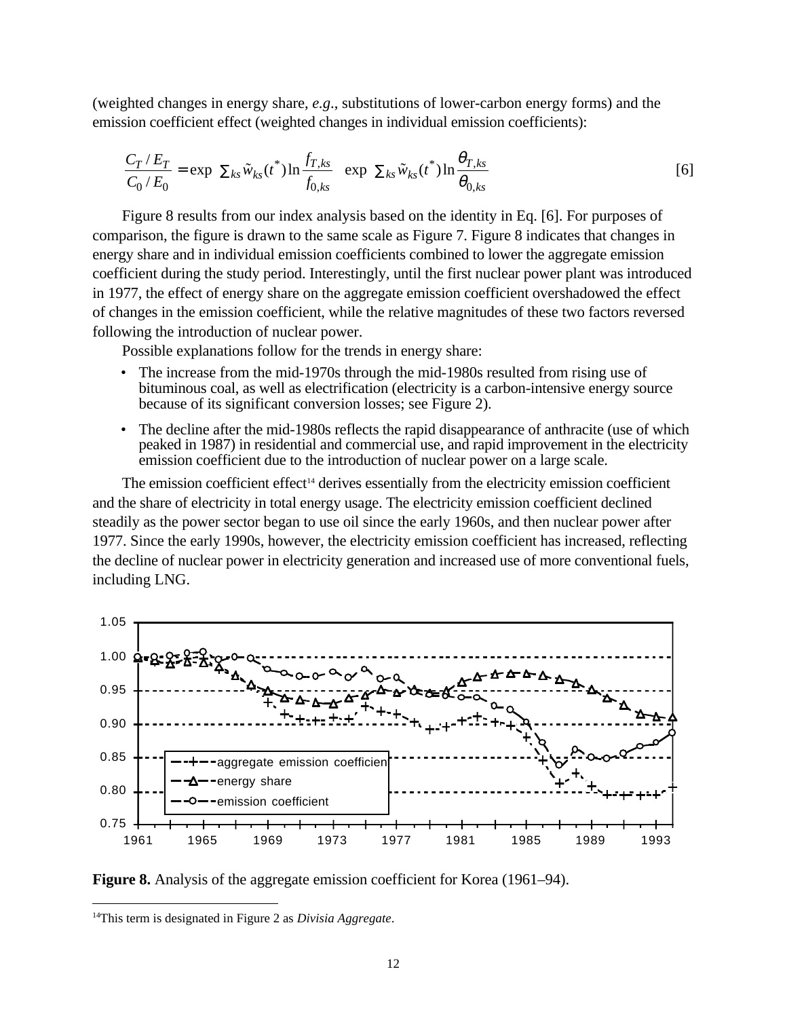(weighted changes in energy share, *e.g*., substitutions of lower-carbon energy forms) and the emission coefficient effect (weighted changes in individual emission coefficients):

$$
\frac{C_T/E_T}{C_0/E_0} = \exp\left(\sum_{ks}\tilde{w}_{ks}(t^*)\ln\frac{f_{T,ks}}{f_{0,ks}}\right)\exp\left(\sum_{ks}\tilde{w}_{ks}(t^*)\ln\frac{\theta_{T,ks}}{\theta_{0,ks}}\right)
$$
 [6]

Figure 8 results from our index analysis based on the identity in Eq. [6]. For purposes of comparison, the figure is drawn to the same scale as Figure 7. Figure 8 indicates that changes in energy share and in individual emission coefficients combined to lower the aggregate emission coefficient during the study period. Interestingly, until the first nuclear power plant was introduced in 1977, the effect of energy share on the aggregate emission coefficient overshadowed the effect of changes in the emission coefficient, while the relative magnitudes of these two factors reversed following the introduction of nuclear power.

Possible explanations follow for the trends in energy share:

- The increase from the mid-1970s through the mid-1980s resulted from rising use of bituminous coal, as well as electrification (electricity is a carbon-intensive energy source because of its significant conversion losses; see Figure 2).
- The decline after the mid-1980s reflects the rapid disappearance of anthracite (use of which peaked in 1987) in residential and commercial use, and rapid improvement in the electricity emission coefficient due to the introduction of nuclear power on a large scale.

The emission coefficient effect<sup>14</sup> derives essentially from the electricity emission coefficient and the share of electricity in total energy usage. The electricity emission coefficient declined steadily as the power sector began to use oil since the early 1960s, and then nuclear power after 1977. Since the early 1990s, however, the electricity emission coefficient has increased, reflecting the decline of nuclear power in electricity generation and increased use of more conventional fuels, including LNG.



**Figure 8.** Analysis of the aggregate emission coefficient for Korea (1961–94).

 $\overline{a}$ 

<sup>14</sup>This term is designated in Figure 2 as *Divisia Aggregate*.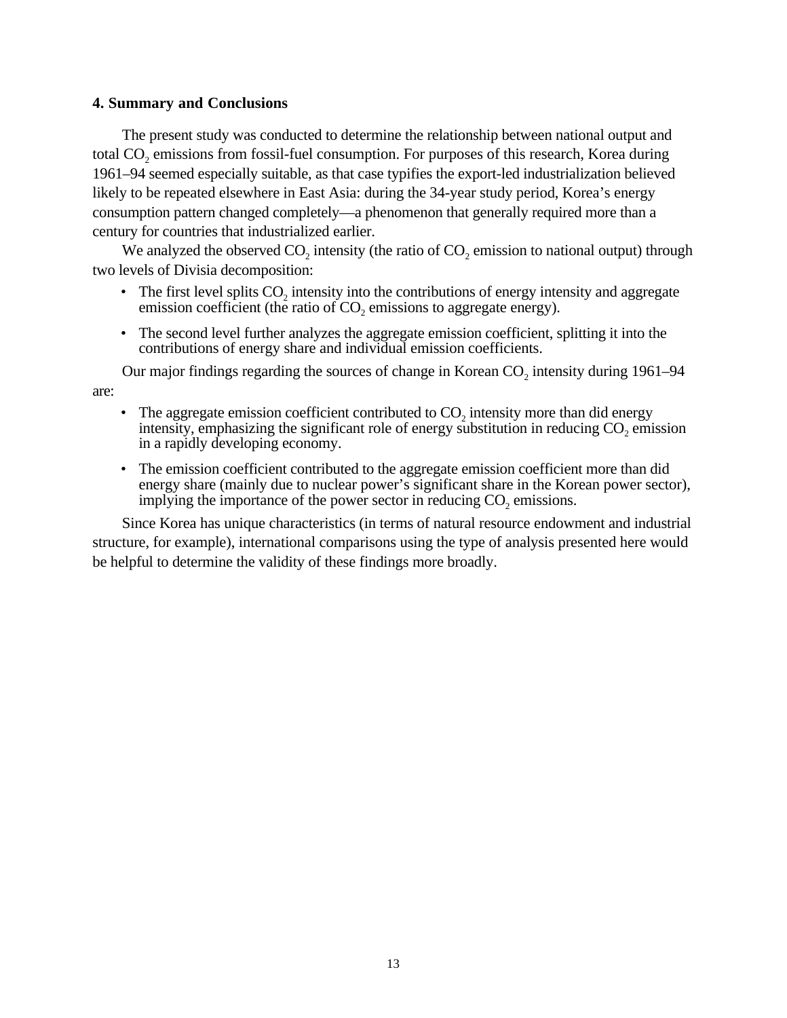# **4. Summary and Conclusions**

The present study was conducted to determine the relationship between national output and total CO<sub>2</sub> emissions from fossil-fuel consumption. For purposes of this research, Korea during 1961–94 seemed especially suitable, as that case typifies the export-led industrialization believed likely to be repeated elsewhere in East Asia: during the 34-year study period, Korea's energy consumption pattern changed completely—a phenomenon that generally required more than a century for countries that industrialized earlier.

We analyzed the observed  $CO<sub>2</sub>$  intensity (the ratio of  $CO<sub>2</sub>$  emission to national output) through two levels of Divisia decomposition:

- The first level splits  $CO<sub>2</sub>$  intensity into the contributions of energy intensity and aggregate emission coefficient (the ratio of  $CO<sub>2</sub>$  emissions to aggregate energy).
- The second level further analyzes the aggregate emission coefficient, splitting it into the contributions of energy share and individual emission coefficients.

Our major findings regarding the sources of change in Korean  $CO<sub>2</sub>$  intensity during 1961–94 are:

- The aggregate emission coefficient contributed to  $CO<sub>2</sub>$  intensity more than did energy intensity, emphasizing the significant role of energy substitution in reducing  $CO<sub>2</sub>$  emission in a rapidly developing economy.
- The emission coefficient contributed to the aggregate emission coefficient more than did energy share (mainly due to nuclear power's significant share in the Korean power sector), implying the importance of the power sector in reducing CO<sub>2</sub> emissions.

Since Korea has unique characteristics (in terms of natural resource endowment and industrial structure, for example), international comparisons using the type of analysis presented here would be helpful to determine the validity of these findings more broadly.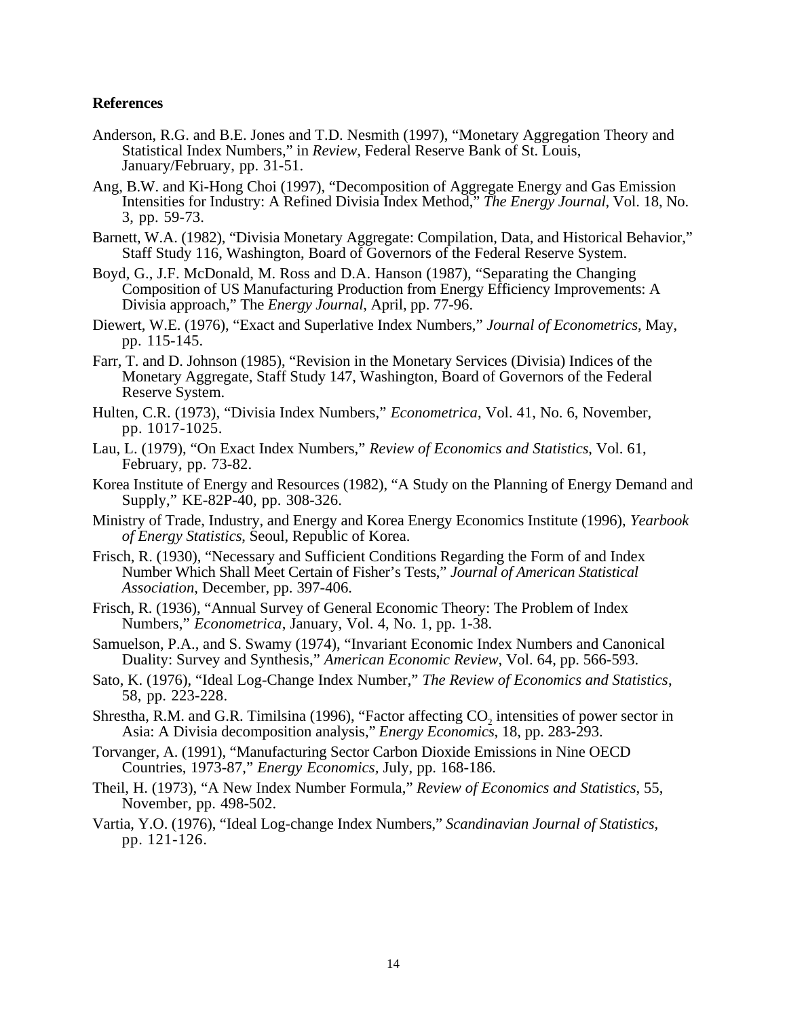# **References**

- Anderson, R.G. and B.E. Jones and T.D. Nesmith (1997), "Monetary Aggregation Theory and Statistical Index Numbers," in *Review*, Federal Reserve Bank of St. Louis, January/February, pp. 31-51.
- Ang, B.W. and Ki-Hong Choi (1997), "Decomposition of Aggregate Energy and Gas Emission Intensities for Industry: A Refined Divisia Index Method," *The Energy Journal*, Vol. 18, No. 3, pp. 59-73.
- Barnett, W.A. (1982), "Divisia Monetary Aggregate: Compilation, Data, and Historical Behavior," Staff Study 116, Washington, Board of Governors of the Federal Reserve System.
- Boyd, G., J.F. McDonald, M. Ross and D.A. Hanson (1987), "Separating the Changing Composition of US Manufacturing Production from Energy Efficiency Improvements: A Divisia approach," The *Energy Journal*, April, pp. 77-96.
- Diewert, W.E. (1976), "Exact and Superlative Index Numbers," *Journal of Econometrics*, May, pp. 115-145.
- Farr, T. and D. Johnson (1985), "Revision in the Monetary Services (Divisia) Indices of the Monetary Aggregate, Staff Study 147, Washington, Board of Governors of the Federal Reserve System.
- Hulten, C.R. (1973), "Divisia Index Numbers," *Econometrica*, Vol. 41, No. 6, November, pp. 1017-1025.
- Lau, L. (1979), "On Exact Index Numbers," *Review of Economics and Statistics*, Vol. 61, February, pp. 73-82.
- Korea Institute of Energy and Resources (1982), "A Study on the Planning of Energy Demand and Supply," KE-82P-40, pp. 308-326.
- Ministry of Trade, Industry, and Energy and Korea Energy Economics Institute (1996), *Yearbook of Energy Statistics*, Seoul, Republic of Korea.
- Frisch, R. (1930), "Necessary and Sufficient Conditions Regarding the Form of and Index Number Which Shall Meet Certain of Fisher's Tests," *Journal of American Statistical Association*, December, pp. 397-406.
- Frisch, R. (1936), "Annual Survey of General Economic Theory: The Problem of Index Numbers," *Econometrica*, January, Vol. 4, No. 1, pp. 1-38.
- Samuelson, P.A., and S. Swamy (1974), "Invariant Economic Index Numbers and Canonical Duality: Survey and Synthesis," *American Economic Review*, Vol. 64, pp. 566-593.
- Sato, K. (1976), "Ideal Log-Change Index Number," *The Review of Economics and Statistics*, 58, pp. 223-228.
- Shrestha, R.M. and G.R. Timilsina (1996), "Factor affecting CO<sub>2</sub> intensities of power sector in Asia: A Divisia decomposition analysis," *Energy Economics*, 18, pp. 283-293.
- Torvanger, A. (1991), "Manufacturing Sector Carbon Dioxide Emissions in Nine OECD Countries, 1973-87," *Energy Economics,* July, pp. 168-186.
- Theil, H. (1973), "A New Index Number Formula," *Review of Economics and Statistics*, 55, November, pp. 498-502.
- Vartia, Y.O. (1976), "Ideal Log-change Index Numbers," *Scandinavian Journal of Statistics,* pp. 121-126.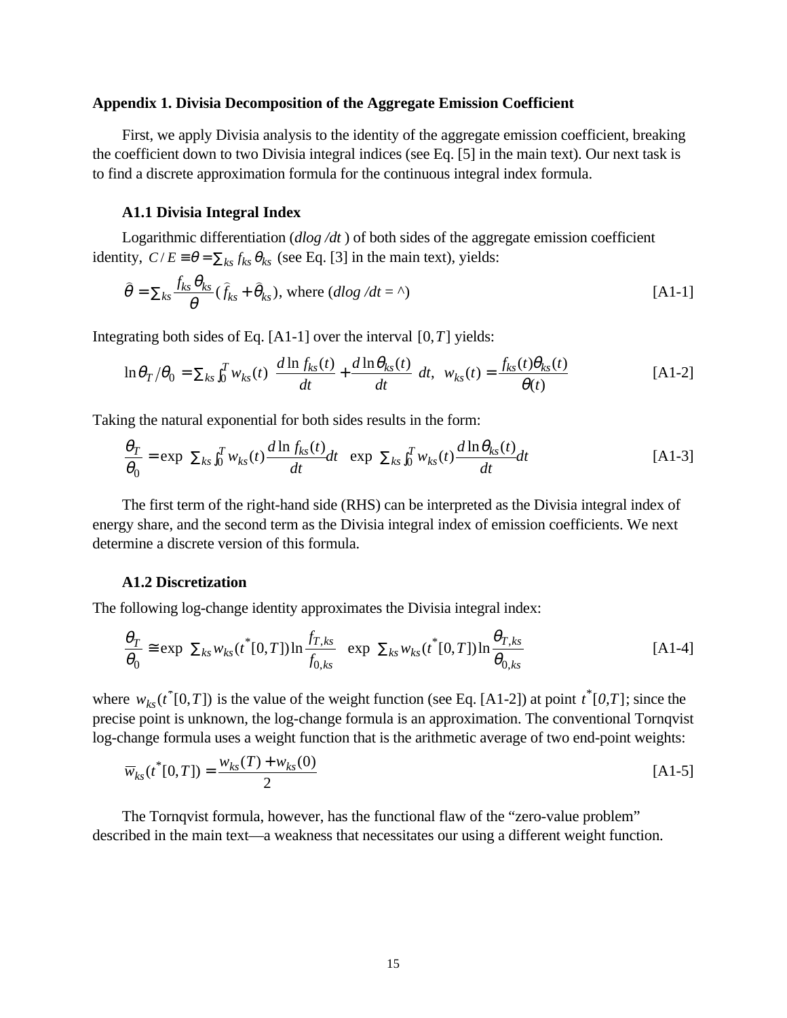#### **Appendix 1. Divisia Decomposition of the Aggregate Emission Coefficient**

First, we apply Divisia analysis to the identity of the aggregate emission coefficient, breaking the coefficient down to two Divisia integral indices (see Eq. [5] in the main text). Our next task is to find a discrete approximation formula for the continuous integral index formula.

# **A1.1 Divisia Integral Index**

Logarithmic differentiation (*dlog* /*dt*) of both sides of the aggregate emission coefficient identity,  $C/E = \theta = \sum_{ks} f_{ks} \theta_{ks}$  (see Eq. [3] in the main text), yields:

$$
\hat{\theta} = \sum_{ks} \frac{f_{ks} \theta_{ks}}{\theta} (\hat{f}_{ks} + \hat{\theta}_{ks}), \text{ where } (dlog/dt = \text{A})
$$
 [A1-1]

Integrating both sides of Eq.  $[A1-1]$  over the interval  $[0, T]$  yields:

$$
\ln \theta_T/\theta_0 = \sum_{ks} \int_0^T w_{ks}(t) \left( \frac{d \ln f_{ks}(t)}{dt} + \frac{d \ln \theta_{ks}(t)}{dt} \right) dt, \quad w_{ks}(t) = \frac{f_{ks}(t) \theta_{ks}(t)}{\theta(t)} \tag{A1-2}
$$

Taking the natural exponential for both sides results in the form:

$$
\frac{\theta_T}{\theta_0} = \exp\left(\sum_{ks} \int_0^T w_{ks}(t) \frac{d \ln f_{ks}(t)}{dt} dt\right) \exp\left(\sum_{ks} \int_0^T w_{ks}(t) \frac{d \ln \theta_{ks}(t)}{dt} dt\right)
$$
 [A1-3]

The first term of the right-hand side (RHS) can be interpreted as the Divisia integral index of energy share, and the second term as the Divisia integral index of emission coefficients. We next determine a discrete version of this formula.

# **A1.2 Discretization**

The following log-change identity approximates the Divisia integral index:

$$
\frac{\theta_T}{\theta_0} \approx \exp\left(\sum_{ks} w_{ks}(t^*[0,T])\ln\frac{f_{T,ks}}{f_{0,ks}}\right) \exp\left(\sum_{ks} w_{ks}(t^*[0,T])\ln\frac{\theta_{T,ks}}{\theta_{0,ks}}\right)
$$
 [A1-4]

where  $w_{ks}(t^*[0,T])$  is the value of the weight function (see Eq. [A1-2]) at point  $t^*[0,T]$ ; since the precise point is unknown, the log-change formula is an approximation. The conventional Tornqvist log-change formula uses a weight function that is the arithmetic average of two end-point weights:

$$
\overline{w}_{ks}(t^*[0,T]) = \frac{w_{ks}(T) + w_{ks}(0)}{2}
$$
 [A1-5]

The Tornqvist formula, however, has the functional flaw of the "zero-value problem" described in the main text—a weakness that necessitates our using a different weight function.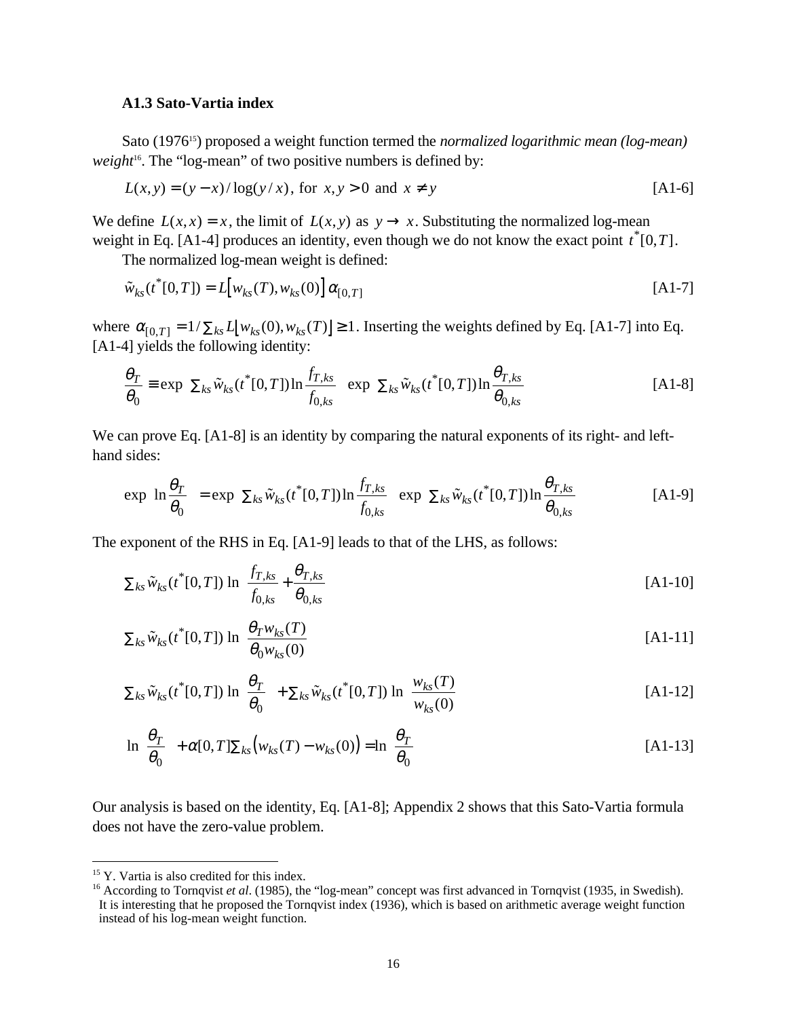# **A1.3 Sato-Vartia index**

Sato (1976<sup>15</sup>) proposed a weight function termed the *normalized logarithmic mean (log-mean) weight*<sup>16</sup>. The "log-mean" of two positive numbers is defined by:

$$
L(x, y) = (y - x) / \log(y / x), \text{ for } x, y > 0 \text{ and } x \neq y
$$
 [A1-6]

We define  $L(x, x) = x$ , the limit of  $L(x, y)$  as  $y \rightarrow x$ . Substituting the normalized log-mean weight in Eq. [A1-4] produces an identity, even though we do not know the exact point  $t^*[0, T]$ .

The normalized log-mean weight is defined:

$$
\tilde{w}_{ks}(t^*[0,T]) = L[w_{ks}(T), w_{ks}(0)] \alpha_{[0,T]}
$$
\n[A1-7]

where  $\alpha_{[0,T]} = 1/\sum_{ks} L[w_{ks}(0), w_{ks}(T)] \ge 1$ . Inserting the weights defined by Eq. [A1-7] into Eq. [A1-4] yields the following identity:

$$
\frac{\theta_T}{\theta_0} \equiv \exp\left(\sum_{ks} \tilde{w}_{ks}(t^*[0,T])\ln\frac{f_{T,ks}}{f_{0,ks}}\right) \exp\left(\sum_{ks} \tilde{w}_{ks}(t^*[0,T])\ln\frac{\theta_{T,ks}}{\theta_{0,ks}}\right)
$$
\n[A1-8]

We can prove Eq. [A1-8] is an identity by comparing the natural exponents of its right- and lefthand sides:

$$
\exp\left(\ln\frac{\theta_T}{\theta_0}\right) = \exp\left(\sum_{ks}\tilde{w}_{ks}(t^*[0,T])\ln\frac{f_{T,ks}}{f_{0,ks}}\right)\exp\left(\sum_{ks}\tilde{w}_{ks}(t^*[0,T])\ln\frac{\theta_{T,ks}}{\theta_{0,ks}}\right) \tag{A1-9}
$$

The exponent of the RHS in Eq. [A1-9] leads to that of the LHS, as follows:

$$
\sum_{ks} \tilde{w}_{ks}(t^*[0,T]) \ln\left(\frac{f_{T,ks}}{f_{0,ks}} + \frac{\theta_{T,ks}}{\theta_{0,ks}}\right)
$$
 [A1-10]

$$
\sum_{ks} \tilde{w}_{ks}(t^*[0,T]) \ln\left(\frac{\theta_T w_{ks}(T)}{\theta_0 w_{ks}(0)}\right) \tag{A1-11}
$$

$$
\sum_{ks} \tilde{w}_{ks}(t^*[0,T]) \ln\left(\frac{\theta_T}{\theta_0}\right) + \sum_{ks} \tilde{w}_{ks}(t^*[0,T]) \ln\left(\frac{w_{ks}(T)}{w_{ks}(0)}\right)
$$
 [A1-12]

$$
\ln\left(\frac{\theta_T}{\theta_0}\right) + \alpha[0, T] \sum_{ks} \left(w_{ks}(T) - w_{ks}(0)\right) = \ln\left(\frac{\theta_T}{\theta_0}\right)
$$
 [A1-13]

Our analysis is based on the identity, Eq. [A1-8]; Appendix 2 shows that this Sato-Vartia formula does not have the zero-value problem.

 $\overline{a}$ 

<sup>&</sup>lt;sup>15</sup> Y. Vartia is also credited for this index.

<sup>&</sup>lt;sup>16</sup> According to Tornqvist *et al.* (1985), the "log-mean" concept was first advanced in Tornqvist (1935, in Swedish). It is interesting that he proposed the Tornqvist index (1936), which is based on arithmetic average weight function instead of his log-mean weight function.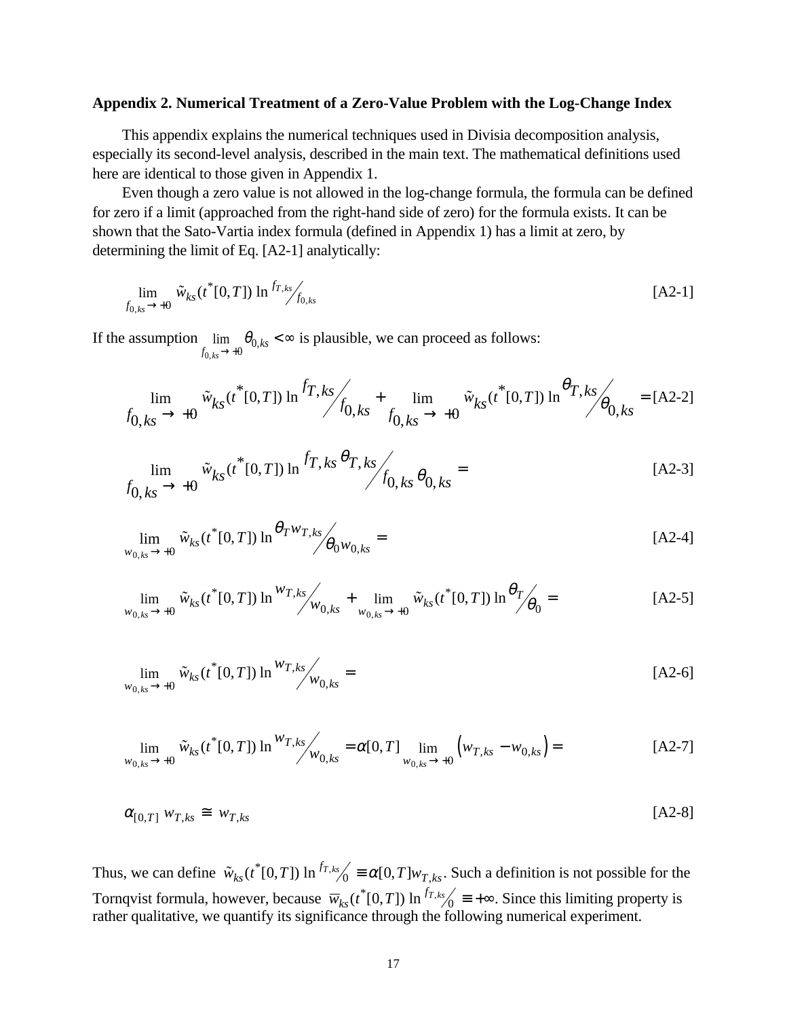## **Appendix 2. Numerical Treatment of a Zero-Value Problem with the Log-Change Index**

This appendix explains the numerical techniques used in Divisia decomposition analysis, especially its second-level analysis, described in the main text. The mathematical definitions used here are identical to those given in Appendix 1.

Even though a zero value is not allowed in the log-change formula, the formula can be defined for zero if a limit (approached from the right-hand side of zero) for the formula exists. It can be shown that the Sato-Vartia index formula (defined in Appendix 1) has a limit at zero, by determining the limit of Eq. [A2-1] analytically:

$$
\lim_{f_{0,ks}\to+0} \tilde{w}_{ks}(t^*[0,T]) \ln \frac{f_{T,ks}}{f_{0,ks}} \tag{A2-1}
$$

If the assumption  $f_{0,ks} \rightarrow 0$   $\rightarrow 0$ , *ks*  $\lim_{k \to \infty} \theta_{0,k} < \infty$  is plausible, we can proceed as follows:

$$
\lim_{f_{0,ks} \to +0} \tilde{w}_{ks}(t^*[0,T]) \ln \frac{f_{T,ks}}{f_{0,ks}} + \lim_{f_{0,ks} \to +0} \tilde{w}_{ks}(t^*[0,T]) \ln \frac{\theta_{T,ks}}{\theta_{0,ks}} = [A2-2]
$$

$$
\lim_{f_{0,ks}\to+0} \tilde{w}_{ks}(t^*[0,T]) \ln \frac{f_{T,ks}\theta_{T,ks}}{f_{0,ks}\theta_{0,ks}} =
$$
 [A2-3]

$$
\lim_{w_{0,ks}\to+0} \tilde{w}_{ks}(t^*[0,T]) \ln \frac{\theta_T w_{T,ks}}{\theta_0 w_{0,ks}} =
$$
 [A2-4]

$$
\lim_{w_{0,ks}\to+0} \tilde{w}_{ks}(t^*[0,T]) \ln \frac{w_{T,ks}}{w_{0,ks}} + \lim_{w_{0,ks}\to+0} \tilde{w}_{ks}(t^*[0,T]) \ln \frac{\theta_T}{\theta_0} = \qquad \qquad \text{[A2-5]}
$$

$$
\lim_{w_{0,ks}\to+0} \tilde{w}_{ks}(t^*[0,T]) \ln \frac{w_{T,ks}}{w_{0,ks}} =
$$
 [A2-6]

$$
\lim_{w_{0,ks}\to+0} \tilde{w}_{ks}(t^*[0,T]) \ln \frac{w_{T,ks}}{w_{0,ks}} = \alpha[0,T] \lim_{w_{0,ks}\to+0} \left( w_{T,ks} - w_{0,ks} \right) = \tag{A2-7}
$$

$$
\alpha_{[0,T]} \, w_{T,ks} \cong \, w_{T,ks} \tag{A2-8}
$$

Thus, we can define  $\tilde{w}_{ks}(t^*[0,T]) \ln \frac{f_{T,ks}}{0} \equiv \alpha[0,T] w_{T,ks}$  $(0,T]$ )  $\ln \frac{J_{T,ks}}{\sqrt{0}} = \alpha[0,T] w_{T,ks}$ . Such a definition is not possible for the Tornqvist formula, however, because  $\overline{w}_{ks}(t^*[0,T]) \ln^{f_{T,ks}} = +\infty$ . Since this limiting property is rather qualitative, we quantify its significance through the following numerical experiment.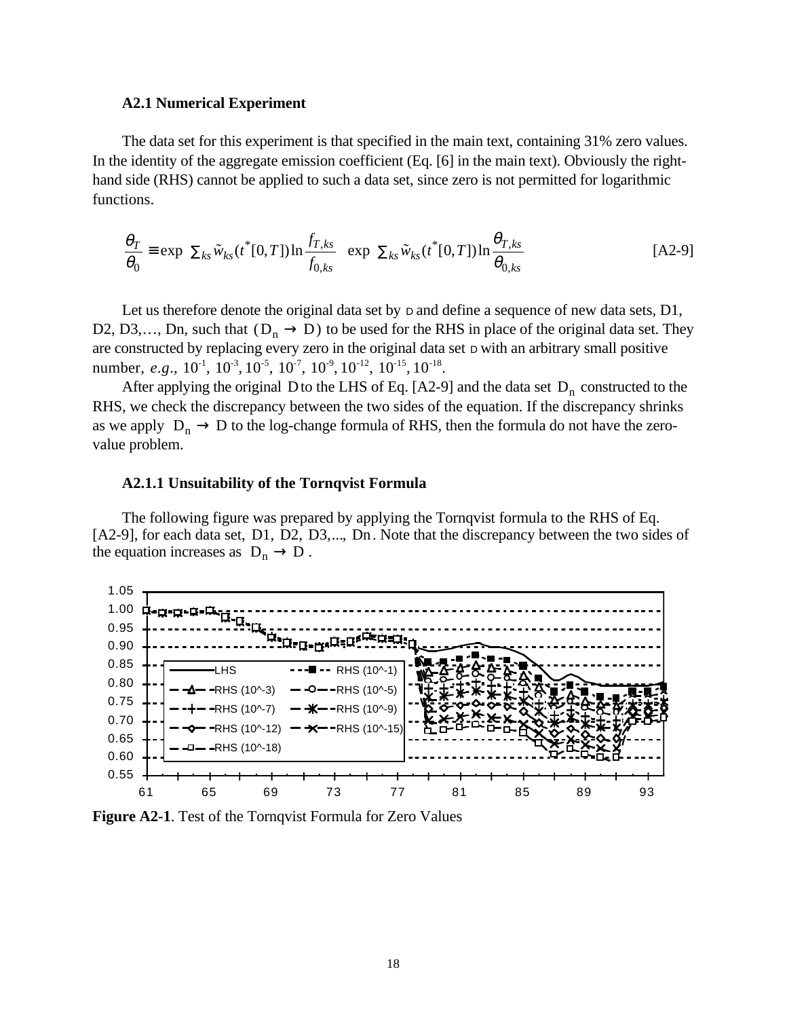### **A2.1 Numerical Experiment**

The data set for this experiment is that specified in the main text, containing 31% zero values. In the identity of the aggregate emission coefficient (Eq. [6] in the main text). Obviously the righthand side (RHS) cannot be applied to such a data set, since zero is not permitted for logarithmic functions.

$$
\frac{\theta_T}{\theta_0} \equiv \exp\left(\sum_{ks} \tilde{w}_{ks}(t^*[0,T])\ln\frac{f_{T,ks}}{f_{0,ks}}\right) \exp\left(\sum_{ks} \tilde{w}_{ks}(t^*[0,T])\ln\frac{\theta_{T,ks}}{\theta_{0,ks}}\right)
$$
\n[A2-9]

Let us therefore denote the original data set by  $\nu$  and define a sequence of new data sets, D1, D2, D3,..., Dn, such that  $(D_n \to D)$  to be used for the RHS in place of the original data set. They are constructed by replacing every zero in the original data set <sup>D</sup> with an arbitrary small positive number, *e.g.*,  $10^{-1}$ ,  $10^{-3}$ ,  $10^{-5}$ ,  $10^{-7}$ ,  $10^{-9}$ ,  $10^{-12}$ ,  $10^{-15}$ ,  $10^{-18}$ .

After applying the original D to the LHS of Eq. [A2-9] and the data set  $D_n$  constructed to the RHS, we check the discrepancy between the two sides of the equation. If the discrepancy shrinks as we apply  $D_n \to D$  to the log-change formula of RHS, then the formula do not have the zerovalue problem.

# **A2.1.1 Unsuitability of the Tornqvist Formula**

The following figure was prepared by applying the Tornqvist formula to the RHS of Eq. [A2-9], for each data set, D1,  $\overline{D2}$ , D3, ..., Dn. Note that the discrepancy between the two sides of the equation increases as  $D_n \to D$ .



**Figure A2-1**. Test of the Tornqvist Formula for Zero Values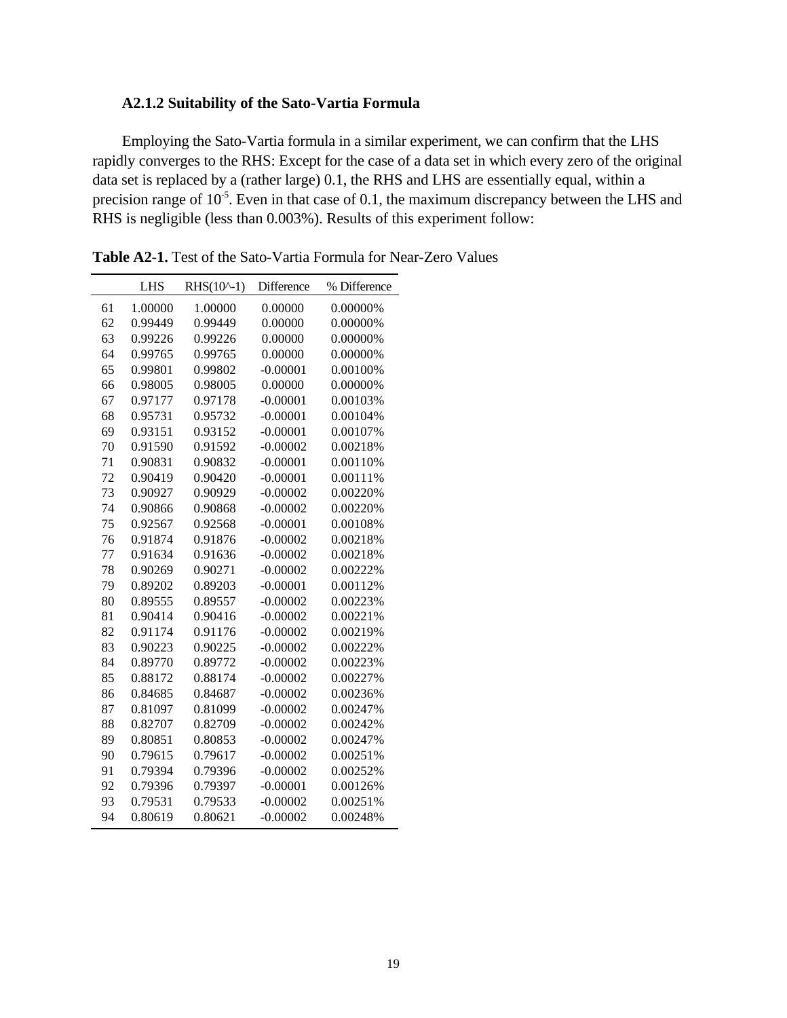# **A2.1.2 Suitability of the Sato-Vartia Formula**

Employing the Sato-Vartia formula in a similar experiment, we can confirm that the LHS rapidly converges to the RHS: Except for the case of a data set in which every zero of the original data set is replaced by a (rather large) 0.1, the RHS and LHS are essentially equal, within a precision range of  $10^{-5}$ . Even in that case of 0.1, the maximum discrepancy between the LHS and RHS is negligible (less than 0.003%). Results of this experiment follow:

|    | <b>LHS</b> | $RHS(10^{\wedge}-1)$ | Difference | % Difference |
|----|------------|----------------------|------------|--------------|
| 61 | 1.00000    | 1.00000              | 0.00000    | 0.00000%     |
| 62 | 0.99449    | 0.99449              | 0.00000    | 0.00000%     |
| 63 | 0.99226    | 0.99226              | 0.00000    | 0.00000%     |
| 64 | 0.99765    | 0.99765              | 0.00000    | 0.00000%     |
| 65 | 0.99801    | 0.99802              | $-0.00001$ | 0.00100%     |
| 66 | 0.98005    | 0.98005              | 0.00000    | 0.00000%     |
| 67 | 0.97177    | 0.97178              | $-0.00001$ | 0.00103%     |
| 68 | 0.95731    | 0.95732              | $-0.00001$ | 0.00104%     |
| 69 | 0.93151    | 0.93152              | $-0.00001$ | 0.00107%     |
| 70 | 0.91590    | 0.91592              | $-0.00002$ | 0.00218%     |
| 71 | 0.90831    | 0.90832              | $-0.00001$ | 0.00110%     |
| 72 | 0.90419    | 0.90420              | $-0.00001$ | 0.00111%     |
| 73 | 0.90927    | 0.90929              | $-0.00002$ | 0.00220%     |
| 74 | 0.90866    | 0.90868              | $-0.00002$ | 0.00220%     |
| 75 | 0.92567    | 0.92568              | $-0.00001$ | 0.00108%     |
| 76 | 0.91874    | 0.91876              | $-0.00002$ | 0.00218%     |
| 77 | 0.91634    | 0.91636              | $-0.00002$ | 0.00218%     |
| 78 | 0.90269    | 0.90271              | $-0.00002$ | 0.00222%     |
| 79 | 0.89202    | 0.89203              | $-0.00001$ | 0.00112%     |
| 80 | 0.89555    | 0.89557              | $-0.00002$ | 0.00223%     |
| 81 | 0.90414    | 0.90416              | $-0.00002$ | 0.00221%     |
| 82 | 0.91174    | 0.91176              | $-0.00002$ | 0.00219%     |
| 83 | 0.90223    | 0.90225              | $-0.00002$ | 0.00222%     |
| 84 | 0.89770    | 0.89772              | $-0.00002$ | 0.00223%     |
| 85 | 0.88172    | 0.88174              | $-0.00002$ | 0.00227%     |
| 86 | 0.84685    | 0.84687              | $-0.00002$ | 0.00236%     |
| 87 | 0.81097    | 0.81099              | $-0.00002$ | 0.00247%     |
| 88 | 0.82707    | 0.82709              | $-0.00002$ | 0.00242%     |
| 89 | 0.80851    | 0.80853              | $-0.00002$ | 0.00247%     |
| 90 | 0.79615    | 0.79617              | $-0.00002$ | 0.00251%     |
| 91 | 0.79394    | 0.79396              | $-0.00002$ | 0.00252%     |
| 92 | 0.79396    | 0.79397              | $-0.00001$ | 0.00126%     |
| 93 | 0.79531    | 0.79533              | $-0.00002$ | 0.00251%     |
| 94 | 0.80619    | 0.80621              | $-0.00002$ | 0.00248%     |

**Table A2-1.** Test of the Sato-Vartia Formula for Near-Zero Values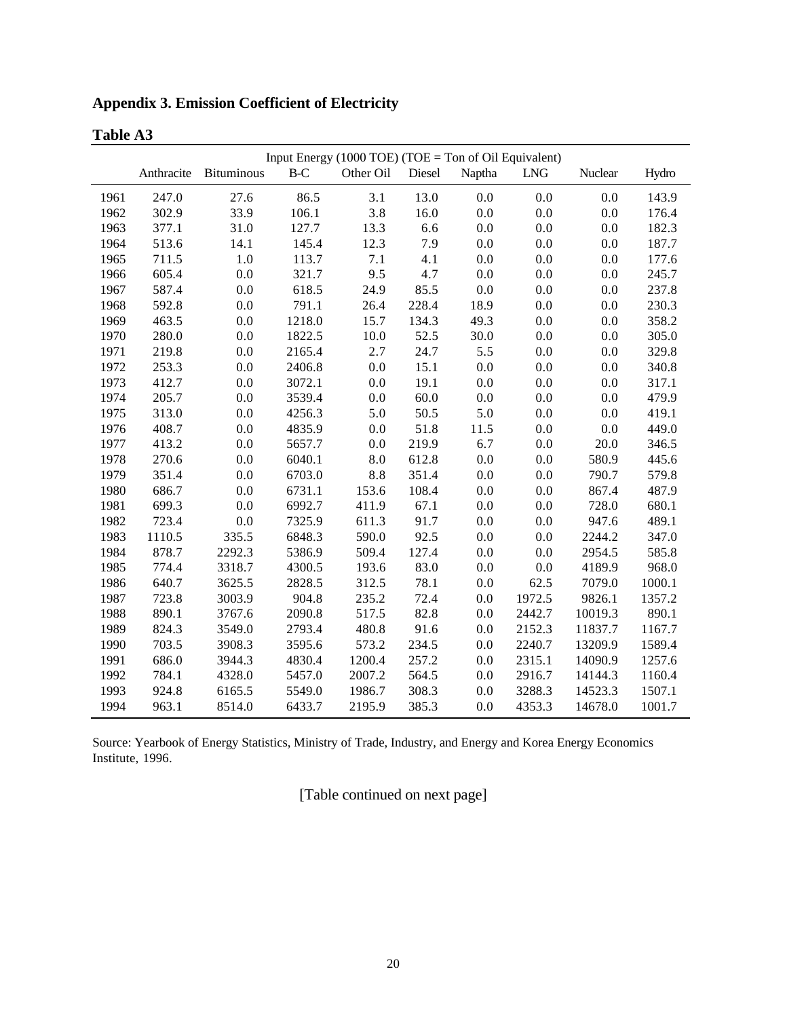**Appendix 3. Emission Coefficient of Electricity**

|      |            |                   |        | Input Energy (1000 TOE) (TOE = Ton of Oil Equivalent) |        |         |            |         |        |
|------|------------|-------------------|--------|-------------------------------------------------------|--------|---------|------------|---------|--------|
|      | Anthracite | <b>Bituminous</b> | B-C    | Other Oil                                             | Diesel | Naptha  | <b>LNG</b> | Nuclear | Hydro  |
| 1961 | 247.0      | 27.6              | 86.5   | 3.1                                                   | 13.0   | 0.0     | 0.0        | 0.0     | 143.9  |
| 1962 | 302.9      | 33.9              | 106.1  | 3.8                                                   | 16.0   | 0.0     | 0.0        | 0.0     | 176.4  |
| 1963 | 377.1      | 31.0              | 127.7  | 13.3                                                  | 6.6    | 0.0     | 0.0        | 0.0     | 182.3  |
| 1964 | 513.6      | 14.1              | 145.4  | 12.3                                                  | 7.9    | 0.0     | 0.0        | 0.0     | 187.7  |
| 1965 | 711.5      | 1.0               | 113.7  | 7.1                                                   | 4.1    | 0.0     | 0.0        | 0.0     | 177.6  |
| 1966 | 605.4      | 0.0               | 321.7  | 9.5                                                   | 4.7    | 0.0     | 0.0        | 0.0     | 245.7  |
| 1967 | 587.4      | 0.0               | 618.5  | 24.9                                                  | 85.5   | 0.0     | 0.0        | 0.0     | 237.8  |
| 1968 | 592.8      | 0.0               | 791.1  | 26.4                                                  | 228.4  | 18.9    | 0.0        | 0.0     | 230.3  |
| 1969 | 463.5      | 0.0               | 1218.0 | 15.7                                                  | 134.3  | 49.3    | 0.0        | 0.0     | 358.2  |
| 1970 | 280.0      | 0.0               | 1822.5 | 10.0                                                  | 52.5   | 30.0    | 0.0        | 0.0     | 305.0  |
| 1971 | 219.8      | 0.0               | 2165.4 | 2.7                                                   | 24.7   | 5.5     | 0.0        | 0.0     | 329.8  |
| 1972 | 253.3      | 0.0               | 2406.8 | 0.0                                                   | 15.1   | 0.0     | 0.0        | 0.0     | 340.8  |
| 1973 | 412.7      | 0.0               | 3072.1 | 0.0                                                   | 19.1   | 0.0     | 0.0        | 0.0     | 317.1  |
| 1974 | 205.7      | 0.0               | 3539.4 | 0.0                                                   | 60.0   | 0.0     | 0.0        | 0.0     | 479.9  |
| 1975 | 313.0      | 0.0               | 4256.3 | 5.0                                                   | 50.5   | 5.0     | 0.0        | 0.0     | 419.1  |
| 1976 | 408.7      | 0.0               | 4835.9 | 0.0                                                   | 51.8   | 11.5    | 0.0        | 0.0     | 449.0  |
| 1977 | 413.2      | 0.0               | 5657.7 | 0.0                                                   | 219.9  | 6.7     | 0.0        | 20.0    | 346.5  |
| 1978 | 270.6      | 0.0               | 6040.1 | 8.0                                                   | 612.8  | 0.0     | 0.0        | 580.9   | 445.6  |
| 1979 | 351.4      | 0.0               | 6703.0 | 8.8                                                   | 351.4  | 0.0     | 0.0        | 790.7   | 579.8  |
| 1980 | 686.7      | 0.0               | 6731.1 | 153.6                                                 | 108.4  | 0.0     | 0.0        | 867.4   | 487.9  |
| 1981 | 699.3      | 0.0               | 6992.7 | 411.9                                                 | 67.1   | 0.0     | 0.0        | 728.0   | 680.1  |
| 1982 | 723.4      | 0.0               | 7325.9 | 611.3                                                 | 91.7   | 0.0     | 0.0        | 947.6   | 489.1  |
| 1983 | 1110.5     | 335.5             | 6848.3 | 590.0                                                 | 92.5   | 0.0     | 0.0        | 2244.2  | 347.0  |
| 1984 | 878.7      | 2292.3            | 5386.9 | 509.4                                                 | 127.4  | 0.0     | 0.0        | 2954.5  | 585.8  |
| 1985 | 774.4      | 3318.7            | 4300.5 | 193.6                                                 | 83.0   | 0.0     | 0.0        | 4189.9  | 968.0  |
| 1986 | 640.7      | 3625.5            | 2828.5 | 312.5                                                 | 78.1   | 0.0     | 62.5       | 7079.0  | 1000.1 |
| 1987 | 723.8      | 3003.9            | 904.8  | 235.2                                                 | 72.4   | 0.0     | 1972.5     | 9826.1  | 1357.2 |
| 1988 | 890.1      | 3767.6            | 2090.8 | 517.5                                                 | 82.8   | 0.0     | 2442.7     | 10019.3 | 890.1  |
| 1989 | 824.3      | 3549.0            | 2793.4 | 480.8                                                 | 91.6   | 0.0     | 2152.3     | 11837.7 | 1167.7 |
| 1990 | 703.5      | 3908.3            | 3595.6 | 573.2                                                 | 234.5  | 0.0     | 2240.7     | 13209.9 | 1589.4 |
| 1991 | 686.0      | 3944.3            | 4830.4 | 1200.4                                                | 257.2  | 0.0     | 2315.1     | 14090.9 | 1257.6 |
| 1992 | 784.1      | 4328.0            | 5457.0 | 2007.2                                                | 564.5  | $0.0\,$ | 2916.7     | 14144.3 | 1160.4 |
| 1993 | 924.8      | 6165.5            | 5549.0 | 1986.7                                                | 308.3  | $0.0\,$ | 3288.3     | 14523.3 | 1507.1 |
| 1994 | 963.1      | 8514.0            | 6433.7 | 2195.9                                                | 385.3  | 0.0     | 4353.3     | 14678.0 | 1001.7 |

**Table A3**

Source: Yearbook of Energy Statistics, Ministry of Trade, Industry, and Energy and Korea Energy Economics Institute, 1996.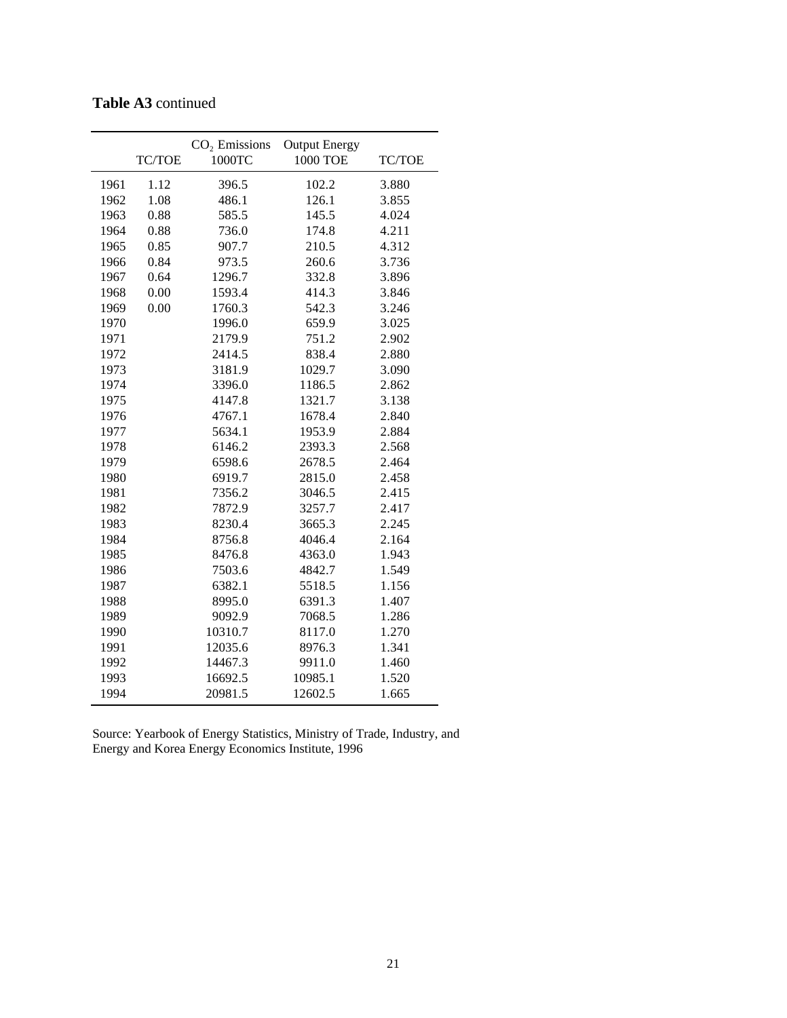|      | TC/TOE | CO <sub>2</sub> Emissions<br>1000TC | <b>Output Energy</b><br><b>1000 TOE</b> | TC/TOE |
|------|--------|-------------------------------------|-----------------------------------------|--------|
| 1961 | 1.12   | 396.5                               | 102.2                                   | 3.880  |
| 1962 | 1.08   | 486.1                               | 126.1                                   | 3.855  |
| 1963 | 0.88   | 585.5                               | 145.5                                   | 4.024  |
| 1964 | 0.88   | 736.0                               | 174.8                                   | 4.211  |
| 1965 | 0.85   | 907.7                               | 210.5                                   | 4.312  |
| 1966 | 0.84   | 973.5                               | 260.6                                   | 3.736  |
| 1967 | 0.64   | 1296.7                              | 332.8                                   | 3.896  |
| 1968 | 0.00   | 1593.4                              | 414.3                                   | 3.846  |
| 1969 | 0.00   | 1760.3                              | 542.3                                   | 3.246  |
| 1970 |        | 1996.0                              | 659.9                                   | 3.025  |
| 1971 |        | 2179.9                              | 751.2                                   | 2.902  |
| 1972 |        | 2414.5                              | 838.4                                   | 2.880  |
| 1973 |        | 3181.9                              | 1029.7                                  | 3.090  |
| 1974 |        | 3396.0                              | 1186.5                                  | 2.862  |
| 1975 |        | 4147.8                              | 1321.7                                  | 3.138  |
| 1976 |        | 4767.1                              | 1678.4                                  | 2.840  |
| 1977 |        | 5634.1                              | 1953.9                                  | 2.884  |
| 1978 |        | 6146.2                              | 2393.3                                  | 2.568  |
| 1979 |        | 6598.6                              | 2678.5                                  | 2.464  |
| 1980 |        | 6919.7                              | 2815.0                                  | 2.458  |
| 1981 |        | 7356.2                              | 3046.5                                  | 2.415  |
| 1982 |        | 7872.9                              | 3257.7                                  | 2.417  |
| 1983 |        | 8230.4                              | 3665.3                                  | 2.245  |
| 1984 |        | 8756.8                              | 4046.4                                  | 2.164  |
| 1985 |        | 8476.8                              | 4363.0                                  | 1.943  |
| 1986 |        | 7503.6                              | 4842.7                                  | 1.549  |
| 1987 |        | 6382.1                              | 5518.5                                  | 1.156  |
| 1988 |        | 8995.0                              | 6391.3                                  | 1.407  |
| 1989 |        | 9092.9                              | 7068.5                                  | 1.286  |
| 1990 |        | 10310.7                             | 8117.0                                  | 1.270  |
| 1991 |        | 12035.6                             | 8976.3                                  | 1.341  |
| 1992 |        | 14467.3                             | 9911.0                                  | 1.460  |
| 1993 |        | 16692.5                             | 10985.1                                 | 1.520  |
| 1994 |        | 20981.5                             | 12602.5                                 | 1.665  |

Source: Yearbook of Energy Statistics, Ministry of Trade, Industry, and Energy and Korea Energy Economics Institute, 1996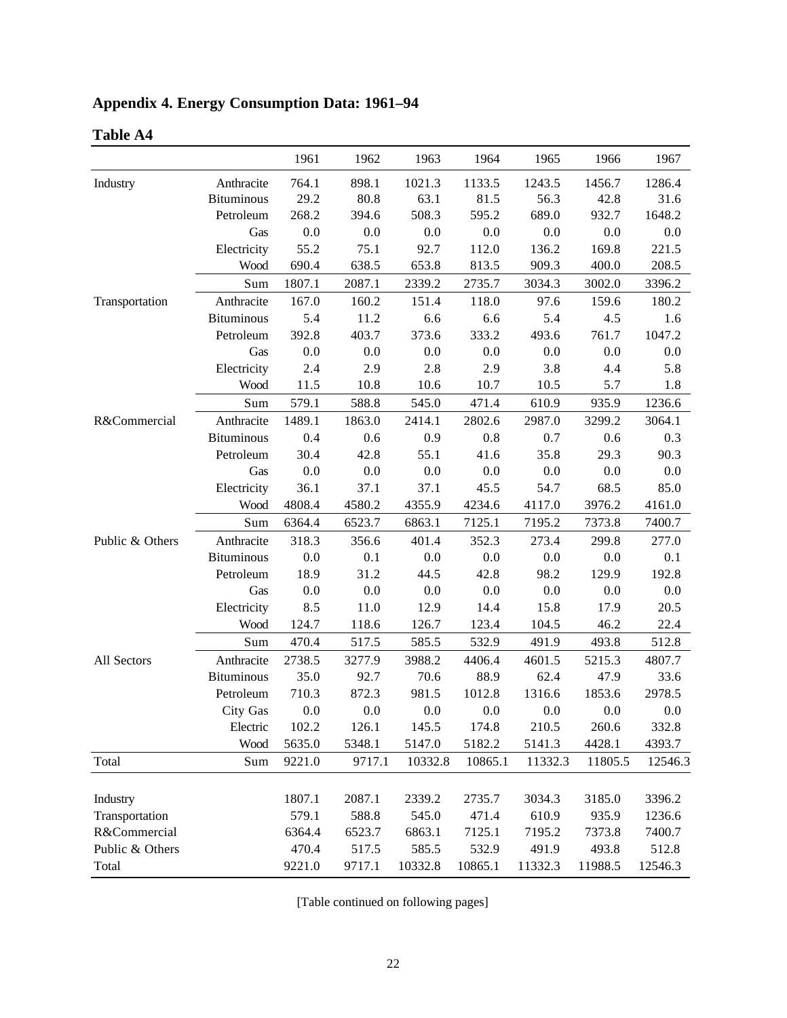# **Appendix 4. Energy Consumption Data: 1961–94**

# **Table A4**

|                 |                   | 1961   | 1962   | 1963    | 1964    | 1965    | 1966    | 1967    |
|-----------------|-------------------|--------|--------|---------|---------|---------|---------|---------|
| Industry        | Anthracite        | 764.1  | 898.1  | 1021.3  | 1133.5  | 1243.5  | 1456.7  | 1286.4  |
|                 | <b>Bituminous</b> | 29.2   | 80.8   | 63.1    | 81.5    | 56.3    | 42.8    | 31.6    |
|                 | Petroleum         | 268.2  | 394.6  | 508.3   | 595.2   | 689.0   | 932.7   | 1648.2  |
|                 | Gas               | 0.0    | 0.0    | 0.0     | 0.0     | 0.0     | 0.0     | $0.0\,$ |
|                 | Electricity       | 55.2   | 75.1   | 92.7    | 112.0   | 136.2   | 169.8   | 221.5   |
|                 | Wood              | 690.4  | 638.5  | 653.8   | 813.5   | 909.3   | 400.0   | 208.5   |
|                 | Sum               | 1807.1 | 2087.1 | 2339.2  | 2735.7  | 3034.3  | 3002.0  | 3396.2  |
| Transportation  | Anthracite        | 167.0  | 160.2  | 151.4   | 118.0   | 97.6    | 159.6   | 180.2   |
|                 | <b>Bituminous</b> | 5.4    | 11.2   | 6.6     | 6.6     | 5.4     | 4.5     | 1.6     |
|                 | Petroleum         | 392.8  | 403.7  | 373.6   | 333.2   | 493.6   | 761.7   | 1047.2  |
|                 | Gas               | 0.0    | 0.0    | 0.0     | 0.0     | 0.0     | 0.0     | 0.0     |
|                 | Electricity       | 2.4    | 2.9    | 2.8     | 2.9     | 3.8     | 4.4     | 5.8     |
|                 | Wood              | 11.5   | 10.8   | 10.6    | 10.7    | 10.5    | 5.7     | 1.8     |
|                 | Sum               | 579.1  | 588.8  | 545.0   | 471.4   | 610.9   | 935.9   | 1236.6  |
| R&Commercial    | Anthracite        | 1489.1 | 1863.0 | 2414.1  | 2802.6  | 2987.0  | 3299.2  | 3064.1  |
|                 | <b>Bituminous</b> | 0.4    | 0.6    | 0.9     | 0.8     | 0.7     | 0.6     | 0.3     |
|                 | Petroleum         | 30.4   | 42.8   | 55.1    | 41.6    | 35.8    | 29.3    | 90.3    |
|                 | Gas               | 0.0    | 0.0    | 0.0     | 0.0     | 0.0     | 0.0     | 0.0     |
|                 | Electricity       | 36.1   | 37.1   | 37.1    | 45.5    | 54.7    | 68.5    | 85.0    |
|                 | Wood              | 4808.4 | 4580.2 | 4355.9  | 4234.6  | 4117.0  | 3976.2  | 4161.0  |
|                 | Sum               | 6364.4 | 6523.7 | 6863.1  | 7125.1  | 7195.2  | 7373.8  | 7400.7  |
| Public & Others | Anthracite        | 318.3  | 356.6  | 401.4   | 352.3   | 273.4   | 299.8   | 277.0   |
|                 | <b>Bituminous</b> | 0.0    | 0.1    | 0.0     | 0.0     | 0.0     | 0.0     | 0.1     |
|                 | Petroleum         | 18.9   | 31.2   | 44.5    | 42.8    | 98.2    | 129.9   | 192.8   |
|                 | Gas               | 0.0    | 0.0    | 0.0     | 0.0     | 0.0     | 0.0     | 0.0     |
|                 | Electricity       | 8.5    | 11.0   | 12.9    | 14.4    | 15.8    | 17.9    | 20.5    |
|                 | Wood              | 124.7  | 118.6  | 126.7   | 123.4   | 104.5   | 46.2    | 22.4    |
|                 | Sum               | 470.4  | 517.5  | 585.5   | 532.9   | 491.9   | 493.8   | 512.8   |
| All Sectors     | Anthracite        | 2738.5 | 3277.9 | 3988.2  | 4406.4  | 4601.5  | 5215.3  | 4807.7  |
|                 | <b>Bituminous</b> | 35.0   | 92.7   | 70.6    | 88.9    | 62.4    | 47.9    | 33.6    |
|                 | Petroleum         | 710.3  | 872.3  | 981.5   | 1012.8  | 1316.6  | 1853.6  | 2978.5  |
|                 | <b>City Gas</b>   | 0.0    | 0.0    | 0.0     | 0.0     | 0.0     | 0.0     | 0.0     |
|                 | Electric          | 102.2  | 126.1  | 145.5   | 174.8   | 210.5   | 260.6   | 332.8   |
|                 | Wood              | 5635.0 | 5348.1 | 5147.0  | 5182.2  | 5141.3  | 4428.1  | 4393.7  |
| Total           | Sum               | 9221.0 | 9717.1 | 10332.8 | 10865.1 | 11332.3 | 11805.5 | 12546.3 |
|                 |                   |        |        |         |         |         |         |         |
| Industry        |                   | 1807.1 | 2087.1 | 2339.2  | 2735.7  | 3034.3  | 3185.0  | 3396.2  |
| Transportation  |                   | 579.1  | 588.8  | 545.0   | 471.4   | 610.9   | 935.9   | 1236.6  |
| R&Commercial    |                   | 6364.4 | 6523.7 | 6863.1  | 7125.1  | 7195.2  | 7373.8  | 7400.7  |
| Public & Others |                   | 470.4  | 517.5  | 585.5   | 532.9   | 491.9   | 493.8   | 512.8   |
| Total           |                   | 9221.0 | 9717.1 | 10332.8 | 10865.1 | 11332.3 | 11988.5 | 12546.3 |

[Table continued on following pages]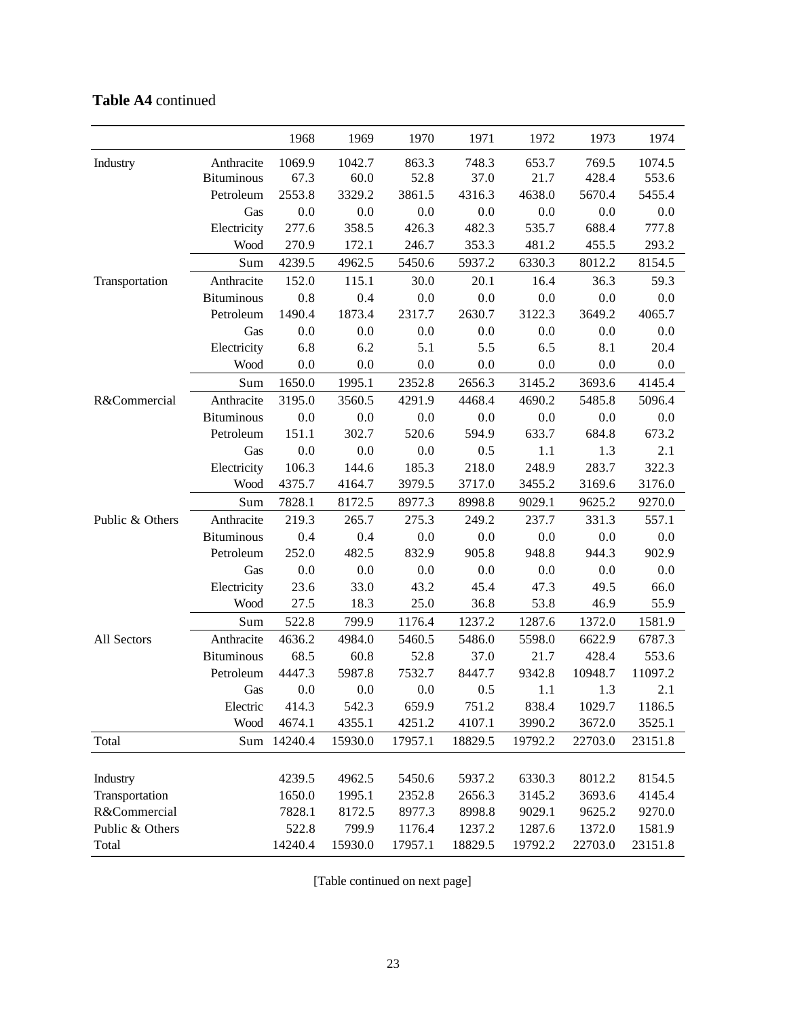|                 |                   | 1968    | 1969    | 1970    | 1971    | 1972    | 1973    | 1974    |
|-----------------|-------------------|---------|---------|---------|---------|---------|---------|---------|
| Industry        | Anthracite        | 1069.9  | 1042.7  | 863.3   | 748.3   | 653.7   | 769.5   | 1074.5  |
|                 | <b>Bituminous</b> | 67.3    | 60.0    | 52.8    | 37.0    | 21.7    | 428.4   | 553.6   |
|                 | Petroleum         | 2553.8  | 3329.2  | 3861.5  | 4316.3  | 4638.0  | 5670.4  | 5455.4  |
|                 | Gas               | 0.0     | 0.0     | 0.0     | 0.0     | 0.0     | 0.0     | 0.0     |
|                 | Electricity       | 277.6   | 358.5   | 426.3   | 482.3   | 535.7   | 688.4   | 777.8   |
|                 | Wood              | 270.9   | 172.1   | 246.7   | 353.3   | 481.2   | 455.5   | 293.2   |
|                 | Sum               | 4239.5  | 4962.5  | 5450.6  | 5937.2  | 6330.3  | 8012.2  | 8154.5  |
| Transportation  | Anthracite        | 152.0   | 115.1   | 30.0    | 20.1    | 16.4    | 36.3    | 59.3    |
|                 | <b>Bituminous</b> | 0.8     | 0.4     | 0.0     | 0.0     | 0.0     | 0.0     | 0.0     |
|                 | Petroleum         | 1490.4  | 1873.4  | 2317.7  | 2630.7  | 3122.3  | 3649.2  | 4065.7  |
|                 | Gas               | 0.0     | 0.0     | 0.0     | 0.0     | 0.0     | 0.0     | 0.0     |
|                 | Electricity       | 6.8     | 6.2     | 5.1     | 5.5     | 6.5     | 8.1     | 20.4    |
|                 | Wood              | 0.0     | 0.0     | 0.0     | 0.0     | 0.0     | 0.0     | 0.0     |
|                 | Sum               | 1650.0  | 1995.1  | 2352.8  | 2656.3  | 3145.2  | 3693.6  | 4145.4  |
| R&Commercial    | Anthracite        | 3195.0  | 3560.5  | 4291.9  | 4468.4  | 4690.2  | 5485.8  | 5096.4  |
|                 | <b>Bituminous</b> | 0.0     | 0.0     | 0.0     | 0.0     | 0.0     | 0.0     | 0.0     |
|                 | Petroleum         | 151.1   | 302.7   | 520.6   | 594.9   | 633.7   | 684.8   | 673.2   |
|                 | Gas               | 0.0     | 0.0     | 0.0     | 0.5     | 1.1     | 1.3     | 2.1     |
|                 | Electricity       | 106.3   | 144.6   | 185.3   | 218.0   | 248.9   | 283.7   | 322.3   |
|                 | Wood              | 4375.7  | 4164.7  | 3979.5  | 3717.0  | 3455.2  | 3169.6  | 3176.0  |
|                 | Sum               | 7828.1  | 8172.5  | 8977.3  | 8998.8  | 9029.1  | 9625.2  | 9270.0  |
| Public & Others | Anthracite        | 219.3   | 265.7   | 275.3   | 249.2   | 237.7   | 331.3   | 557.1   |
|                 | <b>Bituminous</b> | 0.4     | 0.4     | 0.0     | 0.0     | 0.0     | 0.0     | 0.0     |
|                 | Petroleum         | 252.0   | 482.5   | 832.9   | 905.8   | 948.8   | 944.3   | 902.9   |
|                 | Gas               | 0.0     | 0.0     | 0.0     | 0.0     | 0.0     | 0.0     | 0.0     |
|                 | Electricity       | 23.6    | 33.0    | 43.2    | 45.4    | 47.3    | 49.5    | 66.0    |
|                 | Wood              | 27.5    | 18.3    | 25.0    | 36.8    | 53.8    | 46.9    | 55.9    |
|                 | Sum               | 522.8   | 799.9   | 1176.4  | 1237.2  | 1287.6  | 1372.0  | 1581.9  |
| All Sectors     | Anthracite        | 4636.2  | 4984.0  | 5460.5  | 5486.0  | 5598.0  | 6622.9  | 6787.3  |
|                 | <b>Bituminous</b> | 68.5    | 60.8    | 52.8    | 37.0    | 21.7    | 428.4   | 553.6   |
|                 | Petroleum         | 4447.3  | 5987.8  | 7532.7  | 8447.7  | 9342.8  | 10948.7 | 11097.2 |
|                 | Gas               | 0.0     | 0.0     | 0.0     | 0.5     | 1.1     | 1.3     | 2.1     |
|                 | Electric          | 414.3   | 542.3   | 659.9   | 751.2   | 838.4   | 1029.7  | 1186.5  |
|                 | Wood              | 4674.1  | 4355.1  | 4251.2  | 4107.1  | 3990.2  | 3672.0  | 3525.1  |
| Total           | Sum               | 14240.4 | 15930.0 | 17957.1 | 18829.5 | 19792.2 | 22703.0 | 23151.8 |
|                 |                   |         |         |         |         |         |         |         |
| Industry        |                   | 4239.5  | 4962.5  | 5450.6  | 5937.2  | 6330.3  | 8012.2  | 8154.5  |
| Transportation  |                   | 1650.0  | 1995.1  | 2352.8  | 2656.3  | 3145.2  | 3693.6  | 4145.4  |
| R&Commercial    |                   | 7828.1  | 8172.5  | 8977.3  | 8998.8  | 9029.1  | 9625.2  | 9270.0  |
| Public & Others |                   | 522.8   | 799.9   | 1176.4  | 1237.2  | 1287.6  | 1372.0  | 1581.9  |
| Total           |                   | 14240.4 | 15930.0 | 17957.1 | 18829.5 | 19792.2 | 22703.0 | 23151.8 |
|                 |                   |         |         |         |         |         |         |         |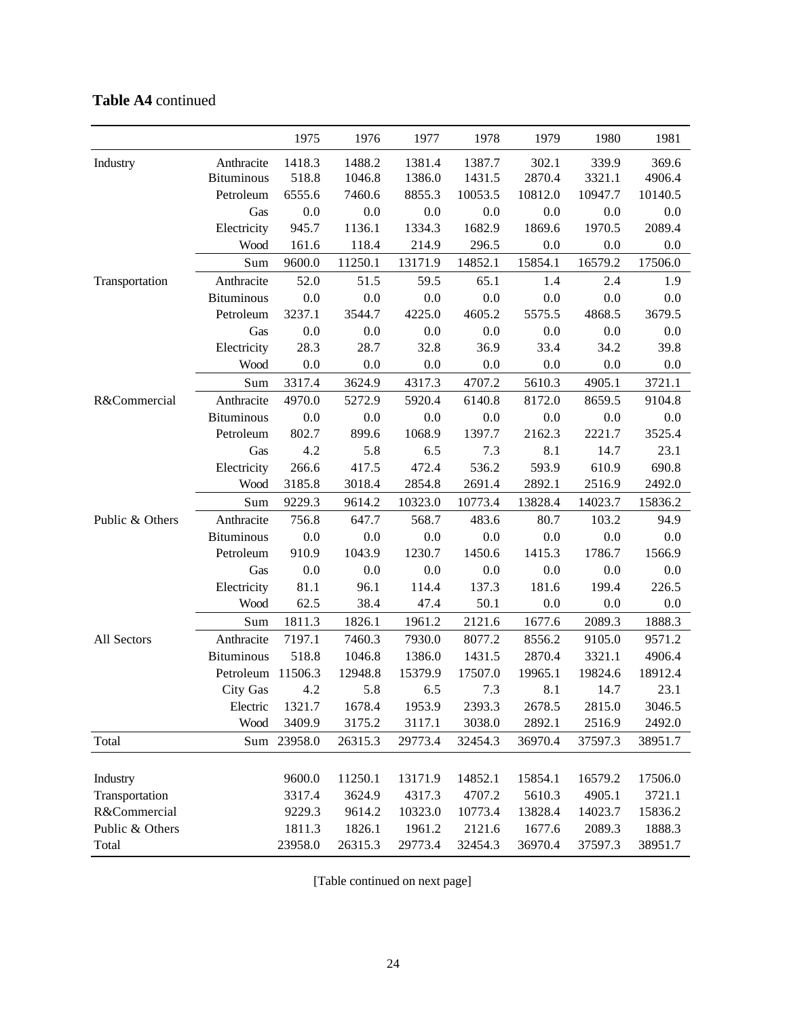|                 |                   | 1975    | 1976    | 1977    | 1978    | 1979    | 1980    | 1981    |
|-----------------|-------------------|---------|---------|---------|---------|---------|---------|---------|
| Industry        | Anthracite        | 1418.3  | 1488.2  | 1381.4  | 1387.7  | 302.1   | 339.9   | 369.6   |
|                 | <b>Bituminous</b> | 518.8   | 1046.8  | 1386.0  | 1431.5  | 2870.4  | 3321.1  | 4906.4  |
|                 | Petroleum         | 6555.6  | 7460.6  | 8855.3  | 10053.5 | 10812.0 | 10947.7 | 10140.5 |
|                 | Gas               | 0.0     | 0.0     | 0.0     | 0.0     | 0.0     | 0.0     | 0.0     |
|                 | Electricity       | 945.7   | 1136.1  | 1334.3  | 1682.9  | 1869.6  | 1970.5  | 2089.4  |
|                 | Wood              | 161.6   | 118.4   | 214.9   | 296.5   | 0.0     | 0.0     | 0.0     |
|                 | Sum               | 9600.0  | 11250.1 | 13171.9 | 14852.1 | 15854.1 | 16579.2 | 17506.0 |
| Transportation  | Anthracite        | 52.0    | 51.5    | 59.5    | 65.1    | 1.4     | 2.4     | 1.9     |
|                 | <b>Bituminous</b> | 0.0     | 0.0     | $0.0\,$ | 0.0     | 0.0     | 0.0     | 0.0     |
|                 | Petroleum         | 3237.1  | 3544.7  | 4225.0  | 4605.2  | 5575.5  | 4868.5  | 3679.5  |
|                 | Gas               | 0.0     | 0.0     | 0.0     | 0.0     | 0.0     | 0.0     | 0.0     |
|                 | Electricity       | 28.3    | 28.7    | 32.8    | 36.9    | 33.4    | 34.2    | 39.8    |
|                 | Wood              | 0.0     | 0.0     | 0.0     | 0.0     | 0.0     | 0.0     | 0.0     |
|                 | Sum               | 3317.4  | 3624.9  | 4317.3  | 4707.2  | 5610.3  | 4905.1  | 3721.1  |
| R&Commercial    | Anthracite        | 4970.0  | 5272.9  | 5920.4  | 6140.8  | 8172.0  | 8659.5  | 9104.8  |
|                 | <b>Bituminous</b> | 0.0     | 0.0     | 0.0     | 0.0     | 0.0     | 0.0     | 0.0     |
|                 | Petroleum         | 802.7   | 899.6   | 1068.9  | 1397.7  | 2162.3  | 2221.7  | 3525.4  |
|                 | Gas               | 4.2     | 5.8     | 6.5     | 7.3     | 8.1     | 14.7    | 23.1    |
|                 | Electricity       | 266.6   | 417.5   | 472.4   | 536.2   | 593.9   | 610.9   | 690.8   |
|                 | Wood              | 3185.8  | 3018.4  | 2854.8  | 2691.4  | 2892.1  | 2516.9  | 2492.0  |
|                 | Sum               | 9229.3  | 9614.2  | 10323.0 | 10773.4 | 13828.4 | 14023.7 | 15836.2 |
| Public & Others | Anthracite        | 756.8   | 647.7   | 568.7   | 483.6   | 80.7    | 103.2   | 94.9    |
|                 | <b>Bituminous</b> | 0.0     | 0.0     | 0.0     | 0.0     | 0.0     | 0.0     | 0.0     |
|                 | Petroleum         | 910.9   | 1043.9  | 1230.7  | 1450.6  | 1415.3  | 1786.7  | 1566.9  |
|                 | Gas               | 0.0     | 0.0     | 0.0     | 0.0     | 0.0     | 0.0     | 0.0     |
|                 | Electricity       | 81.1    | 96.1    | 114.4   | 137.3   | 181.6   | 199.4   | 226.5   |
|                 | Wood              | 62.5    | 38.4    | 47.4    | 50.1    | 0.0     | 0.0     | 0.0     |
|                 | Sum               | 1811.3  | 1826.1  | 1961.2  | 2121.6  | 1677.6  | 2089.3  | 1888.3  |
| All Sectors     | Anthracite        | 7197.1  | 7460.3  | 7930.0  | 8077.2  | 8556.2  | 9105.0  | 9571.2  |
|                 | <b>Bituminous</b> | 518.8   | 1046.8  | 1386.0  | 1431.5  | 2870.4  | 3321.1  | 4906.4  |
|                 | Petroleum 11506.3 |         | 12948.8 | 15379.9 | 17507.0 | 19965.1 | 19824.6 | 18912.4 |
|                 | City Gas          | 4.2     | 5.8     | 6.5     | 7.3     | 8.1     | 14.7    | 23.1    |
|                 | Electric          | 1321.7  | 1678.4  | 1953.9  | 2393.3  | 2678.5  | 2815.0  | 3046.5  |
|                 | Wood              | 3409.9  | 3175.2  | 3117.1  | 3038.0  | 2892.1  | 2516.9  | 2492.0  |
| Total           | Sum               | 23958.0 | 26315.3 | 29773.4 | 32454.3 | 36970.4 | 37597.3 | 38951.7 |
|                 |                   |         |         |         |         |         |         |         |
| Industry        |                   | 9600.0  | 11250.1 | 13171.9 | 14852.1 | 15854.1 | 16579.2 | 17506.0 |
| Transportation  |                   | 3317.4  | 3624.9  | 4317.3  | 4707.2  | 5610.3  | 4905.1  | 3721.1  |
| R&Commercial    |                   | 9229.3  | 9614.2  | 10323.0 | 10773.4 | 13828.4 | 14023.7 | 15836.2 |
| Public & Others |                   | 1811.3  | 1826.1  | 1961.2  | 2121.6  | 1677.6  | 2089.3  | 1888.3  |
| Total           |                   | 23958.0 | 26315.3 | 29773.4 | 32454.3 | 36970.4 | 37597.3 | 38951.7 |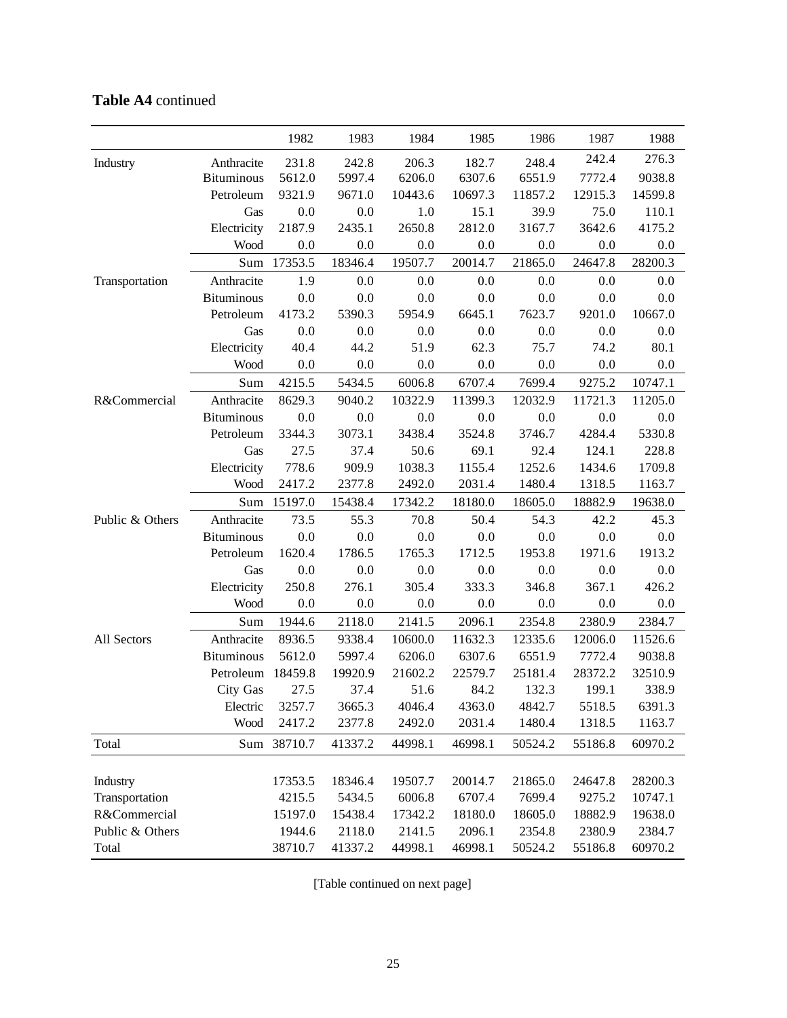|                 |                   | 1982        | 1983    | 1984    | 1985    | 1986    | 1987    | 1988    |
|-----------------|-------------------|-------------|---------|---------|---------|---------|---------|---------|
| Industry        | Anthracite        | 231.8       | 242.8   | 206.3   | 182.7   | 248.4   | 242.4   | 276.3   |
|                 | <b>Bituminous</b> | 5612.0      | 5997.4  | 6206.0  | 6307.6  | 6551.9  | 7772.4  | 9038.8  |
|                 | Petroleum         | 9321.9      | 9671.0  | 10443.6 | 10697.3 | 11857.2 | 12915.3 | 14599.8 |
|                 | Gas               | 0.0         | 0.0     | 1.0     | 15.1    | 39.9    | 75.0    | 110.1   |
|                 | Electricity       | 2187.9      | 2435.1  | 2650.8  | 2812.0  | 3167.7  | 3642.6  | 4175.2  |
|                 | Wood              | 0.0         | 0.0     | 0.0     | 0.0     | 0.0     | 0.0     | $0.0\,$ |
|                 | Sum               | 17353.5     | 18346.4 | 19507.7 | 20014.7 | 21865.0 | 24647.8 | 28200.3 |
| Transportation  | Anthracite        | 1.9         | 0.0     | 0.0     | 0.0     | 0.0     | 0.0     | 0.0     |
|                 | <b>Bituminous</b> | 0.0         | 0.0     | 0.0     | 0.0     | 0.0     | 0.0     | 0.0     |
|                 | Petroleum         | 4173.2      | 5390.3  | 5954.9  | 6645.1  | 7623.7  | 9201.0  | 10667.0 |
|                 | Gas               | 0.0         | 0.0     | 0.0     | 0.0     | 0.0     | 0.0     | 0.0     |
|                 | Electricity       | 40.4        | 44.2    | 51.9    | 62.3    | 75.7    | 74.2    | 80.1    |
|                 | Wood              | 0.0         | 0.0     | 0.0     | 0.0     | 0.0     | 0.0     | 0.0     |
|                 | Sum               | 4215.5      | 5434.5  | 6006.8  | 6707.4  | 7699.4  | 9275.2  | 10747.1 |
| R&Commercial    | Anthracite        | 8629.3      | 9040.2  | 10322.9 | 11399.3 | 12032.9 | 11721.3 | 11205.0 |
|                 | <b>Bituminous</b> | 0.0         | 0.0     | 0.0     | 0.0     | 0.0     | 0.0     | 0.0     |
|                 | Petroleum         | 3344.3      | 3073.1  | 3438.4  | 3524.8  | 3746.7  | 4284.4  | 5330.8  |
|                 | Gas               | 27.5        | 37.4    | 50.6    | 69.1    | 92.4    | 124.1   | 228.8   |
|                 | Electricity       | 778.6       | 909.9   | 1038.3  | 1155.4  | 1252.6  | 1434.6  | 1709.8  |
|                 | Wood              | 2417.2      | 2377.8  | 2492.0  | 2031.4  | 1480.4  | 1318.5  | 1163.7  |
|                 |                   | Sum 15197.0 | 15438.4 | 17342.2 | 18180.0 | 18605.0 | 18882.9 | 19638.0 |
| Public & Others | Anthracite        | 73.5        | 55.3    | 70.8    | 50.4    | 54.3    | 42.2    | 45.3    |
|                 | <b>Bituminous</b> | 0.0         | 0.0     | 0.0     | 0.0     | 0.0     | 0.0     | 0.0     |
|                 | Petroleum         | 1620.4      | 1786.5  | 1765.3  | 1712.5  | 1953.8  | 1971.6  | 1913.2  |
|                 | Gas               | 0.0         | 0.0     | 0.0     | 0.0     | 0.0     | 0.0     | 0.0     |
|                 | Electricity       | 250.8       | 276.1   | 305.4   | 333.3   | 346.8   | 367.1   | 426.2   |
|                 | Wood              | 0.0         | 0.0     | 0.0     | 0.0     | 0.0     | 0.0     | 0.0     |
|                 | Sum               | 1944.6      | 2118.0  | 2141.5  | 2096.1  | 2354.8  | 2380.9  | 2384.7  |
| All Sectors     | Anthracite        | 8936.5      | 9338.4  | 10600.0 | 11632.3 | 12335.6 | 12006.0 | 11526.6 |
|                 | <b>Bituminous</b> | 5612.0      | 5997.4  | 6206.0  | 6307.6  | 6551.9  | 7772.4  | 9038.8  |
|                 | Petroleum 18459.8 |             | 19920.9 | 21602.2 | 22579.7 | 25181.4 | 28372.2 | 32510.9 |
|                 | City Gas          | 27.5        | 37.4    | 51.6    | 84.2    | 132.3   | 199.1   | 338.9   |
|                 | Electric          | 3257.7      | 3665.3  | 4046.4  | 4363.0  | 4842.7  | 5518.5  | 6391.3  |
|                 | Wood              | 2417.2      | 2377.8  | 2492.0  | 2031.4  | 1480.4  | 1318.5  | 1163.7  |
| Total           |                   | Sum 38710.7 | 41337.2 | 44998.1 | 46998.1 | 50524.2 | 55186.8 | 60970.2 |
|                 |                   |             |         |         |         |         |         |         |
| Industry        |                   | 17353.5     | 18346.4 | 19507.7 | 20014.7 | 21865.0 | 24647.8 | 28200.3 |
| Transportation  |                   | 4215.5      | 5434.5  | 6006.8  | 6707.4  | 7699.4  | 9275.2  | 10747.1 |
| R&Commercial    |                   | 15197.0     | 15438.4 | 17342.2 | 18180.0 | 18605.0 | 18882.9 | 19638.0 |
| Public & Others |                   | 1944.6      | 2118.0  | 2141.5  | 2096.1  | 2354.8  | 2380.9  | 2384.7  |
| Total           |                   | 38710.7     | 41337.2 | 44998.1 | 46998.1 | 50524.2 | 55186.8 | 60970.2 |